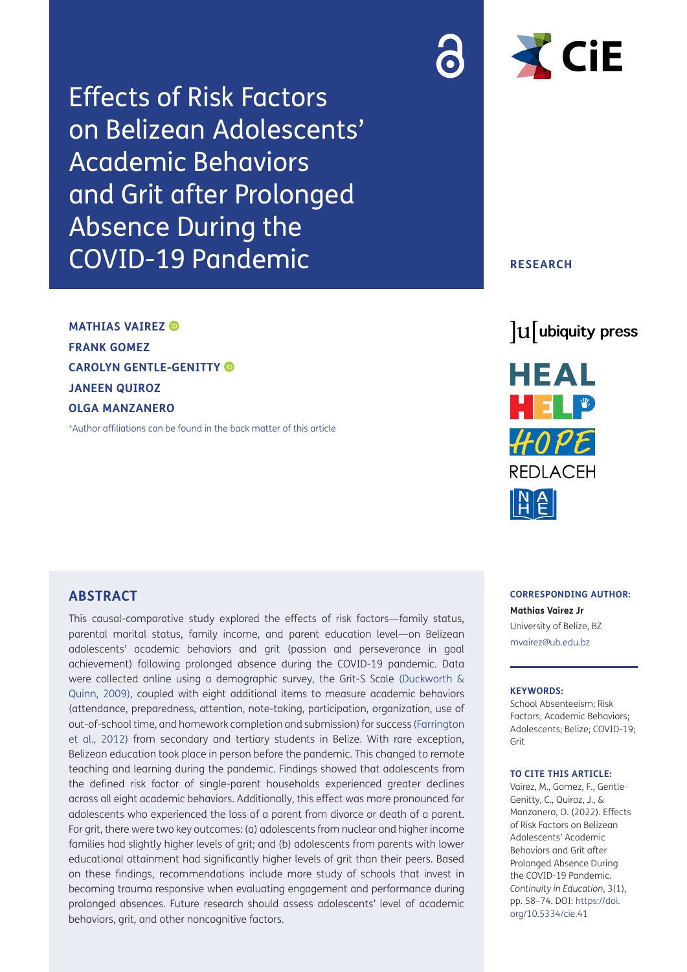Effects of Risk Factors on Belizean Adolescents' Academic Behaviors and Grit after Prolonged Absence During the COVID-19 Pandemic

**MATHIAS VAIREZ FRANK GOMEZ CAROLYN GENTLE-GENITTY JANEEN QUIROZ OLGA MANZANERO**

[\\*Author affiliations can be found in the back matter of this article](#page-13-0)



# **RESEARCH**





**CORRESPONDING AUTHOR: Mathias Vairez Jr** University of Belize, BZ [mvairez@ub.edu.bz](mailto:mvairez@ub.edu.bz)

#### **KEYWORDS:**

School Absenteeism; Risk Factors; Academic Behaviors; Adolescents; Belize; COVID-19; Grit

#### **TO CITE THIS ARTICLE:**

Vairez, M., Gomez, F., Gentle-Genitty, C., Quiroz, J., & Manzanero, O. (2022). Effects of Risk Factors on Belizean Adolescents' Academic Behaviors and Grit after Prolonged Absence During the COVID-19 Pandemic. *Continuity in Education*, 3(1), pp. 58–74. DOI: [https://doi.](https://doi.org/10.5334/cie.41) [org/10.5334/cie.41](https://doi.org/10.5334/cie.41)

#### **ABSTRACT**

This causal-comparative study explored the effects of risk factors—family status, parental marital status, family income, and parent education level—on Belizean adolescents' academic behaviors and grit (passion and perseverance in goal achievement) following prolonged absence during the COVID-19 pandemic. Data were collected online using a demographic survey, the Grit-S Scale ([Duckworth &](#page-14-0)  [Quinn, 2009\)](#page-14-0), coupled with eight additional items to measure academic behaviors (attendance, preparedness, attention, note-taking, participation, organization, use of out-of-school time, and homework completion and submission) for success [\(Farrington](#page-14-1)  [et al., 2012](#page-14-1)) from secondary and tertiary students in Belize. With rare exception, Belizean education took place in person before the pandemic. This changed to remote teaching and learning during the pandemic. Findings showed that adolescents from the defined risk factor of single-parent households experienced greater declines across all eight academic behaviors. Additionally, this effect was more pronounced for adolescents who experienced the loss of a parent from divorce or death of a parent. For grit, there were two key outcomes: (a) adolescents from nuclear and higher income families had slightly higher levels of grit; and (b) adolescents from parents with lower educational attainment had significantly higher levels of grit than their peers. Based on these findings, recommendations include more study of schools that invest in becoming trauma responsive when evaluating engagement and performance during prolonged absences. Future research should assess adolescents' level of academic behaviors, grit, and other noncognitive factors.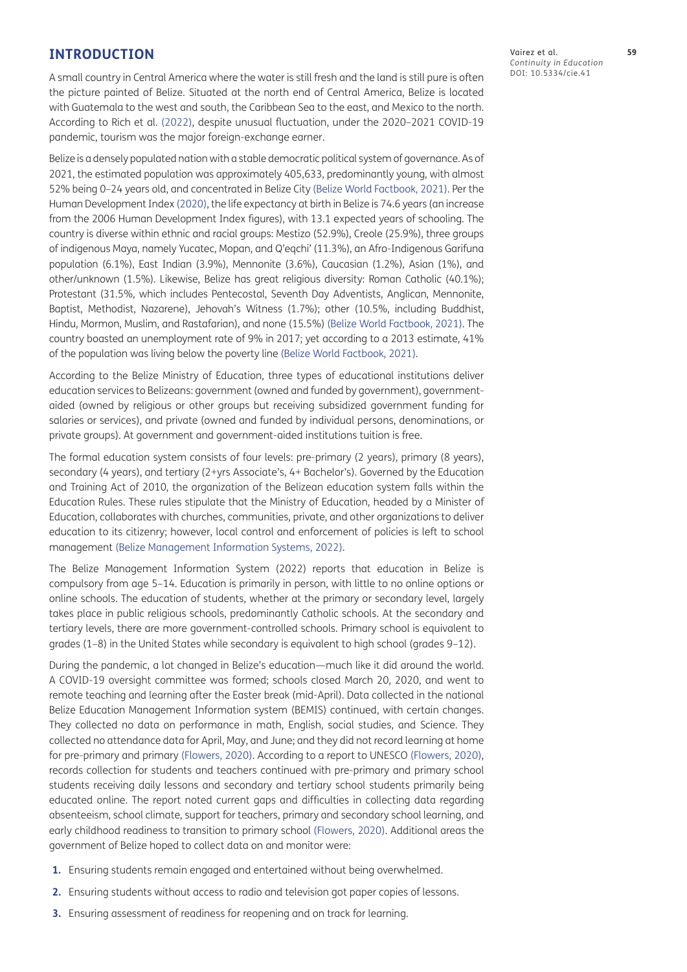# **INTRODUCTION**

A small country in Central America where the water is still fresh and the land is still pure is often the picture painted of Belize. Situated at the north end of Central America, Belize is located with Guatemala to the west and south, the Caribbean Sea to the east, and Mexico to the north. According to Rich et al. ([2022](#page-16-0)), despite unusual fluctuation, under the 2020–2021 COVID-19 pandemic, tourism was the major foreign-exchange earner.

Belize is a densely populated nation with a stable democratic political system of governance. As of 2021, the estimated population was approximately 405,633, predominantly young, with almost 52% being 0–24 years old, and concentrated in Belize City [\(Belize World Factbook, 2021\)](#page-14-2). Per the Human Development Index ([2020](#page-15-0)), the life expectancy at birth in Belize is 74.6 years (an increase from the 2006 Human Development Index figures), with 13.1 expected years of schooling. The country is diverse within ethnic and racial groups: Mestizo (52.9%), Creole (25.9%), three groups of indigenous Maya, namely Yucatec, Mopan, and Q'eqchi' (11.3%), an Afro-Indigenous Garifuna population (6.1%), East Indian (3.9%), Mennonite (3.6%), Caucasian (1.2%), Asian (1%), and other/unknown (1.5%). Likewise, Belize has great religious diversity: Roman Catholic (40.1%); Protestant (31.5%, which includes Pentecostal, Seventh Day Adventists, Anglican, Mennonite, Baptist, Methodist, Nazarene), Jehovah's Witness (1.7%); other (10.5%, including Buddhist, Hindu, Mormon, Muslim, and Rastafarian), and none (15.5%) [\(Belize World Factbook, 2021\)](#page-14-2). The country boasted an unemployment rate of 9% in 2017; yet according to a 2013 estimate, 41% of the population was living below the poverty line [\(Belize World Factbook, 2021](#page-14-2)).

According to the Belize Ministry of Education, three types of educational institutions deliver education services to Belizeans: government (owned and funded by government), governmentaided (owned by religious or other groups but receiving subsidized government funding for salaries or services), and private (owned and funded by individual persons, denominations, or private groups). At government and government-aided institutions tuition is free.

The formal education system consists of four levels: pre-primary (2 years), primary (8 years), secondary (4 years), and tertiary (2+yrs Associate's, 4+ Bachelor's). Governed by the Education and Training Act of 2010, the organization of the Belizean education system falls within the Education Rules. These rules stipulate that the Ministry of Education, headed by a Minister of Education, collaborates with churches, communities, private, and other organizations to deliver education to its citizenry; however, local control and enforcement of policies is left to school management [\(Belize Management Information Systems, 2022\)](#page-14-3).

The Belize Management Information System (2022) reports that education in Belize is compulsory from age 5–14. Education is primarily in person, with little to no online options or online schools. The education of students, whether at the primary or secondary level, largely takes place in public religious schools, predominantly Catholic schools. At the secondary and tertiary levels, there are more government-controlled schools. Primary school is equivalent to grades (1–8) in the United States while secondary is equivalent to high school (grades 9–12).

During the pandemic, a lot changed in Belize's education—much like it did around the world. A COVID-19 oversight committee was formed; schools closed March 20, 2020, and went to remote teaching and learning after the Easter break (mid-April). Data collected in the national Belize Education Management Information system (BEMIS) continued, with certain changes. They collected no data on performance in math, English, social studies, and Science. They collected no attendance data for April, May, and June; and they did not record learning at home for pre-primary and primary [\(Flowers, 2020\)](#page-14-4). According to a report to UNESCO ([Flowers, 2020](#page-14-4)), records collection for students and teachers continued with pre-primary and primary school students receiving daily lessons and secondary and tertiary school students primarily being educated online. The report noted current gaps and difficulties in collecting data regarding absenteeism, school climate, support for teachers, primary and secondary school learning, and early childhood readiness to transition to primary school ([Flowers, 2020\)](#page-14-4). Additional areas the government of Belize hoped to collect data on and monitor were:

- **1.** Ensuring students remain engaged and entertained without being overwhelmed.
- **2.** Ensuring students without access to radio and television got paper copies of lessons.
- **3.** Ensuring assessment of readiness for reopening and on track for learning.

Vairez et al. **59** *Continuity in Education* DOI: 10.5334/cie.41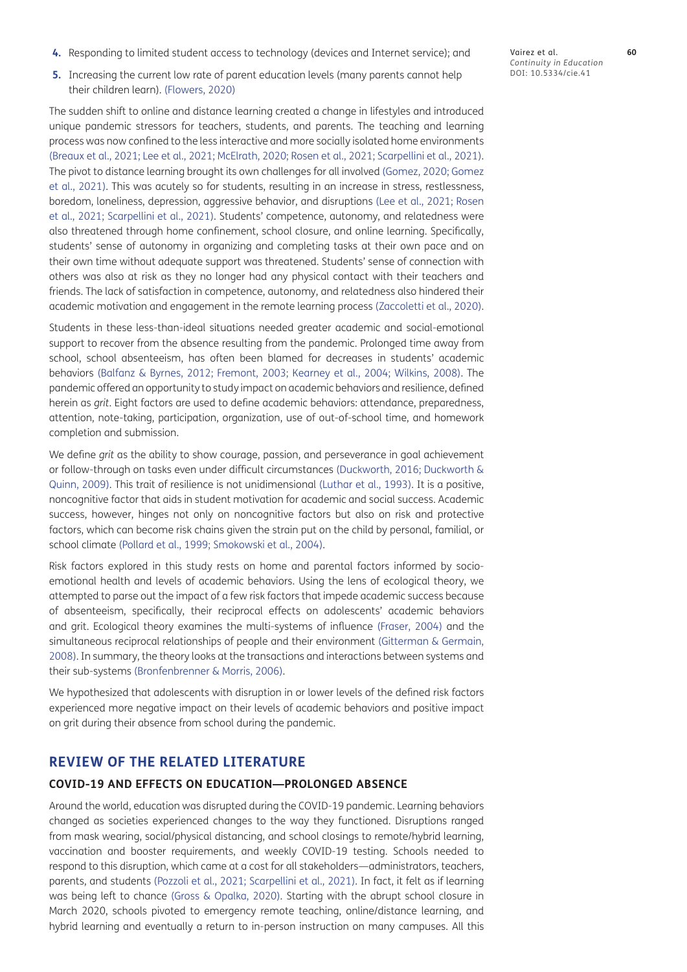- **4.** Responding to limited student access to technology (devices and Internet service); and
- **5.** Increasing the current low rate of parent education levels (many parents cannot help their children learn). [\(Flowers, 2020](#page-14-4))

The sudden shift to online and distance learning created a change in lifestyles and introduced unique pandemic stressors for teachers, students, and parents. The teaching and learning process was now confined to the less interactive and more socially isolated home environments [\(Breaux et al., 2021;](#page-14-5) [Lee et al., 2021](#page-15-1); [McElrath, 2020](#page-16-1); [Rosen et al., 2021](#page-16-2); Scarpellini et al., 2021). The pivot to distance learning brought its own challenges for all involved [\(Gomez, 2020](#page-15-2); [Gomez](#page-15-3)  [et al., 2021\)](#page-15-3). This was acutely so for students, resulting in an increase in stress, restlessness, boredom, loneliness, depression, aggressive behavior, and disruptions ([Lee et al., 2021;](#page-15-1) [Rosen](#page-16-2)  [et al., 2021](#page-16-2); Scarpellini et al., 2021). Students' competence, autonomy, and relatedness were also threatened through home confinement, school closure, and online learning. Specifically, students' sense of autonomy in organizing and completing tasks at their own pace and on their own time without adequate support was threatened. Students' sense of connection with others was also at risk as they no longer had any physical contact with their teachers and friends. The lack of satisfaction in competence, autonomy, and relatedness also hindered their academic motivation and engagement in the remote learning process (Zaccoletti et al., 2020).

Students in these less-than-ideal situations needed greater academic and social-emotional support to recover from the absence resulting from the pandemic. Prolonged time away from school, school absenteeism, has often been blamed for decreases in students' academic behaviors [\(Balfanz & Byrnes, 2012;](#page-14-6) [Fremont, 2003](#page-14-7); [Kearney et al., 2004](#page-15-4); Wilkins, 2008). The pandemic offered an opportunity to study impact on academic behaviors and resilience, defined herein as *grit*. Eight factors are used to define academic behaviors: attendance, preparedness, attention, note-taking, participation, organization, use of out-of-school time, and homework completion and submission.

We define *grit* as the ability to show courage, passion, and perseverance in goal achievement or follow-through on tasks even under difficult circumstances [\(Duckworth, 2016](#page-14-8); [Duckworth &](#page-14-0)  [Quinn, 2009\)](#page-14-0). This trait of resilience is not unidimensional ([Luthar et al., 1993\)](#page-15-5). It is a positive, noncognitive factor that aids in student motivation for academic and social success. Academic success, however, hinges not only on noncognitive factors but also on risk and protective factors, which can become risk chains given the strain put on the child by personal, familial, or school climate [\(Pollard et al., 1999](#page-16-3); Smokowski et al., 2004).

Risk factors explored in this study rests on home and parental factors informed by socioemotional health and levels of academic behaviors. Using the lens of ecological theory, we attempted to parse out the impact of a few risk factors that impede academic success because of absenteeism, specifically, their reciprocal effects on adolescents' academic behaviors and grit. Ecological theory examines the multi-systems of influence ([Fraser, 2004](#page-14-9)) and the simultaneous reciprocal relationships of people and their environment ([Gitterman & Germain,](#page-15-6)  [2008](#page-15-6)). In summary, the theory looks at the transactions and interactions between systems and their sub-systems [\(Bronfenbrenner & Morris, 2006](#page-14-10)).

We hypothesized that adolescents with disruption in or lower levels of the defined risk factors experienced more negative impact on their levels of academic behaviors and positive impact on grit during their absence from school during the pandemic.

# **REVIEW OF THE RELATED LITERATURE**

#### **COVID-19 AND EFFECTS ON EDUCATION—PROLONGED ABSENCE**

Around the world, education was disrupted during the COVID-19 pandemic. Learning behaviors changed as societies experienced changes to the way they functioned. Disruptions ranged from mask wearing, social/physical distancing, and school closings to remote/hybrid learning, vaccination and booster requirements, and weekly COVID-19 testing. Schools needed to respond to this disruption, which came at a cost for all stakeholders—administrators, teachers, parents, and students [\(Pozzoli et al., 2021](#page-16-4); Scarpellini et al., 2021). In fact, it felt as if learning was being left to chance [\(Gross & Opalka, 2020\)](#page-15-7). Starting with the abrupt school closure in March 2020, schools pivoted to emergency remote teaching, online/distance learning, and hybrid learning and eventually a return to in-person instruction on many campuses. All this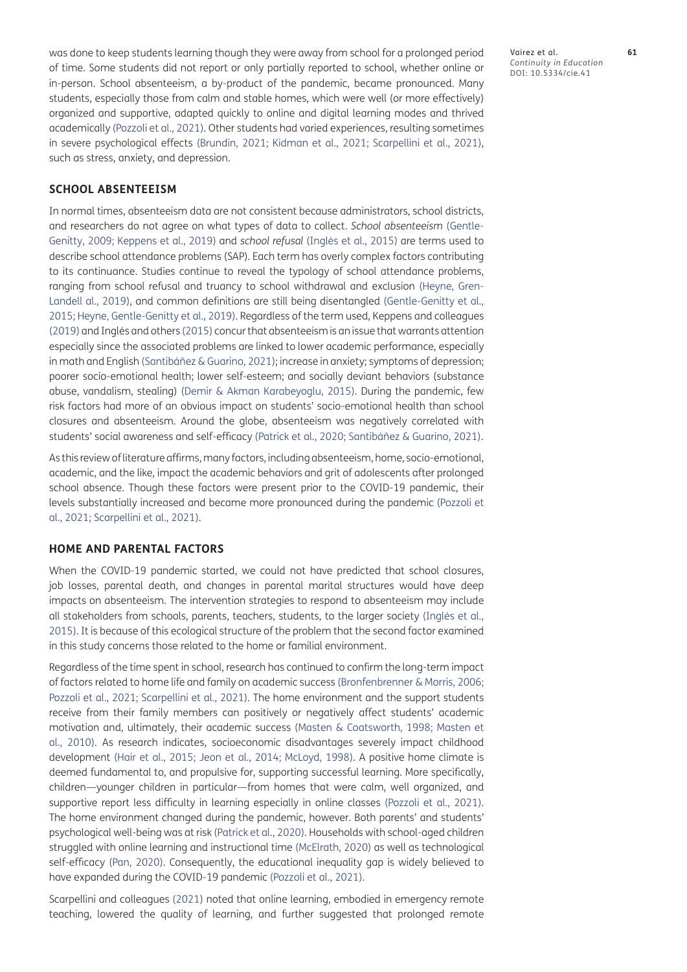was done to keep students learning though they were away from school for a prolonged period of time. Some students did not report or only partially reported to school, whether online or in-person. School absenteeism, a by-product of the pandemic, became pronounced. Many students, especially those from calm and stable homes, which were well (or more effectively) organized and supportive, adapted quickly to online and digital learning modes and thrived academically ([Pozzoli et al., 2021\)](#page-16-4). Other students had varied experiences, resulting sometimes in severe psychological effects [\(Brundin, 2021;](#page-14-11) [Kidman et al., 2021;](#page-15-8) Scarpellini et al., 2021), such as stress, anxiety, and depression.

#### **SCHOOL ABSENTEEISM**

In normal times, absenteeism data are not consistent because administrators, school districts, and researchers do not agree on what types of data to collect. *School absenteeism* ([Gentle-](#page-14-12)[Genitty, 2009;](#page-14-12) [Keppens et al., 2019](#page-15-9)) and *school refusal* (Inglés et al., 2015) are terms used to describe school attendance problems (SAP). Each term has overly complex factors contributing to its continuance. Studies continue to reveal the typology of school attendance problems, ranging from school refusal and truancy to school withdrawal and exclusion [\(Heyne, Gren-](#page-15-10)[Landell al., 2019](#page-15-10)), and common definitions are still being disentangled [\(Gentle-Genitty et al.,](#page-14-13)  [2015](#page-14-13); [Heyne, Gentle-Genitty et al., 2019](#page-15-10)). Regardless of the term used, Keppens and colleagues [\(2019](#page-15-9)) and Inglés and others (2015) concur that absenteeism is an issue that warrants attention especially since the associated problems are linked to lower academic performance, especially in math and English (Santibáñez & Guarino, 2021); increase in anxiety; symptoms of depression; poorer socio-emotional health; lower self-esteem; and socially deviant behaviors (substance abuse, vandalism, stealing) ([Demir & Akman Karabeyoglu, 2015\)](#page-14-14). During the pandemic, few risk factors had more of an obvious impact on students' socio-emotional health than school closures and absenteeism. Around the globe, absenteeism was negatively correlated with students' social awareness and self-efficacy ([Patrick et al., 2020;](#page-16-5) Santibáñez & Guarino, 2021).

As this review of literature affirms, many factors, including absenteeism, home, socio-emotional, academic, and the like, impact the academic behaviors and grit of adolescents after prolonged school absence. Though these factors were present prior to the COVID-19 pandemic, their levels substantially increased and became more pronounced during the pandemic ([Pozzoli et](#page-16-4)  [al., 2021](#page-16-4); Scarpellini et al., 2021).

#### **HOME AND PARENTAL FACTORS**

When the COVID-19 pandemic started, we could not have predicted that school closures, job losses, parental death, and changes in parental marital structures would have deep impacts on absenteeism. The intervention strategies to respond to absenteeism may include all stakeholders from schools, parents, teachers, students, to the larger society (Inglés et al., 2015). It is because of this ecological structure of the problem that the second factor examined in this study concerns those related to the home or familial environment.

Regardless of the time spent in school, research has continued to confirm the long-term impact of factors related to home life and family on academic success ([Bronfenbrenner & Morris, 2006](#page-14-10); [Pozzoli et al., 2021;](#page-16-4) Scarpellini et al., 2021). The home environment and the support students receive from their family members can positively or negatively affect students' academic motivation and, ultimately, their academic success [\(Masten & Coatsworth, 1998](#page-15-11); [Masten et](#page-15-12)  [al., 2010](#page-15-12)). As research indicates, socioeconomic disadvantages severely impact childhood development ([Hair et al., 2015;](#page-15-13) [Jeon et al., 2014;](#page-15-14) [McLoyd, 1998](#page-16-6)). A positive home climate is deemed fundamental to, and propulsive for, supporting successful learning. More specifically, children—younger children in particular—from homes that were calm, well organized, and supportive report less difficulty in learning especially in online classes [\(Pozzoli et al., 2021](#page-16-4)). The home environment changed during the pandemic, however. Both parents' and students' psychological well-being was at risk [\(Patrick et al., 2020\)](#page-16-5). Households with school-aged children struggled with online learning and instructional time ([McElrath, 2020\)](#page-16-1) as well as technological self-efficacy [\(Pan, 2020](#page-16-7)). Consequently, the educational inequality gap is widely believed to have expanded during the COVID-19 pandemic ([Pozzoli et al., 2021](#page-16-4)).

Scarpellini and colleagues (2021) noted that online learning, embodied in emergency remote teaching, lowered the quality of learning, and further suggested that prolonged remote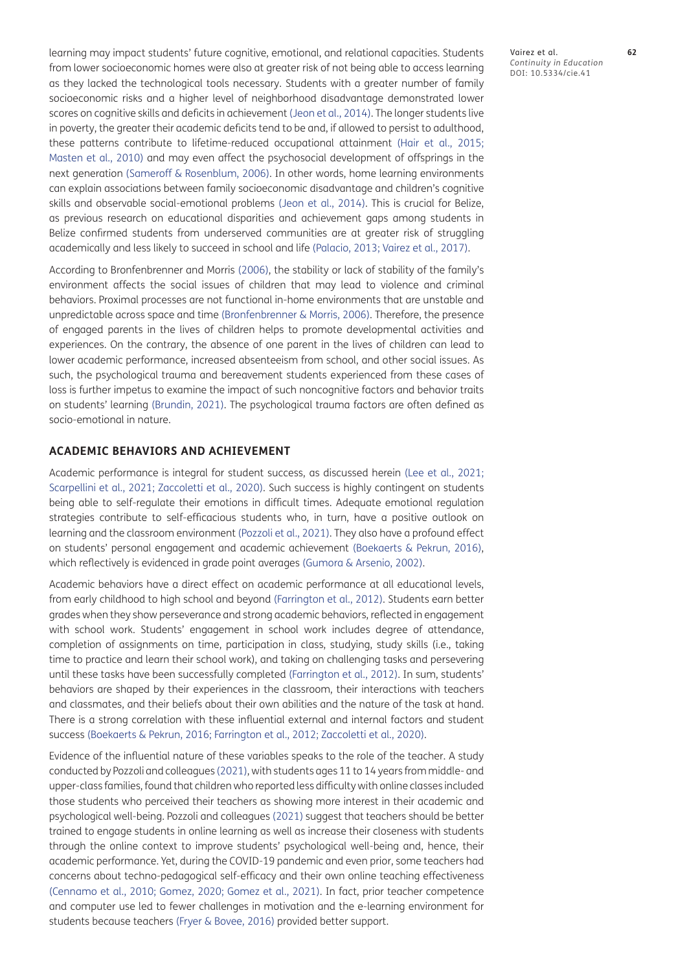learning may impact students' future cognitive, emotional, and relational capacities. Students from lower socioeconomic homes were also at greater risk of not being able to access learning as they lacked the technological tools necessary. Students with a greater number of family socioeconomic risks and a higher level of neighborhood disadvantage demonstrated lower scores on cognitive skills and deficits in achievement ([Jeon et al., 2014\)](#page-15-14). The longer students live in poverty, the greater their academic deficits tend to be and, if allowed to persist to adulthood, these patterns contribute to lifetime-reduced occupational attainment [\(Hair et al., 2015](#page-15-13); [Masten et al., 2010](#page-15-12)) and may even affect the psychosocial development of offsprings in the next generation [\(Sameroff & Rosenblum, 2006\)](#page-16-8). In other words, home learning environments can explain associations between family socioeconomic disadvantage and children's cognitive skills and observable social-emotional problems [\(Jeon et al., 2014\)](#page-15-14). This is crucial for Belize, as previous research on educational disparities and achievement gaps among students in Belize confirmed students from underserved communities are at greater risk of struggling academically and less likely to succeed in school and life ([Palacio, 2013](#page-16-9); Vairez et al., 2017).

According to Bronfenbrenner and Morris [\(2006\)](#page-14-10), the stability or lack of stability of the family's environment affects the social issues of children that may lead to violence and criminal behaviors. Proximal processes are not functional in-home environments that are unstable and unpredictable across space and time ([Bronfenbrenner & Morris, 2006\)](#page-14-10). Therefore, the presence of engaged parents in the lives of children helps to promote developmental activities and experiences. On the contrary, the absence of one parent in the lives of children can lead to lower academic performance, increased absenteeism from school, and other social issues. As such, the psychological trauma and bereavement students experienced from these cases of loss is further impetus to examine the impact of such noncognitive factors and behavior traits on students' learning [\(Brundin, 2021](#page-14-11)). The psychological trauma factors are often defined as socio-emotional in nature.

### **ACADEMIC BEHAVIORS AND ACHIEVEMENT**

Academic performance is integral for student success, as discussed herein ([Lee et al., 2021](#page-15-1); Scarpellini et al., 2021; Zaccoletti et al., 2020). Such success is highly contingent on students being able to self-regulate their emotions in difficult times. Adequate emotional regulation strategies contribute to self-efficacious students who, in turn, have a positive outlook on learning and the classroom environment [\(Pozzoli et al., 2021\)](#page-16-4). They also have a profound effect on students' personal engagement and academic achievement ([Boekaerts & Pekrun, 2016](#page-14-15)), which reflectively is evidenced in grade point averages [\(Gumora & Arsenio, 2002](#page-15-15)).

Academic behaviors have a direct effect on academic performance at all educational levels, from early childhood to high school and beyond [\(Farrington et al., 2012\)](#page-14-1). Students earn better grades when they show perseverance and strong academic behaviors, reflected in engagement with school work. Students' engagement in school work includes degree of attendance, completion of assignments on time, participation in class, studying, study skills (i.e., taking time to practice and learn their school work), and taking on challenging tasks and persevering until these tasks have been successfully completed [\(Farrington et al., 2012\)](#page-14-1). In sum, students' behaviors are shaped by their experiences in the classroom, their interactions with teachers and classmates, and their beliefs about their own abilities and the nature of the task at hand. There is a strong correlation with these influential external and internal factors and student success ([Boekaerts & Pekrun, 2016](#page-14-15); [Farrington et al., 2012](#page-14-1); Zaccoletti et al., 2020).

Evidence of the influential nature of these variables speaks to the role of the teacher. A study conducted by Pozzoli and colleagues ([2021](#page-16-4)), with students ages 11 to 14 years from middle- and upper-class families, found that children who reported less difficulty with online classes included those students who perceived their teachers as showing more interest in their academic and psychological well-being. Pozzoli and colleagues [\(2021\)](#page-16-4) suggest that teachers should be better trained to engage students in online learning as well as increase their closeness with students through the online context to improve students' psychological well-being and, hence, their academic performance. Yet, during the COVID-19 pandemic and even prior, some teachers had concerns about techno-pedagogical self-efficacy and their own online teaching effectiveness [\(Cennamo et al., 2010](#page-14-16); [Gomez, 2020](#page-15-2); [Gomez et al., 2021](#page-15-3)). In fact, prior teacher competence and computer use led to fewer challenges in motivation and the e-learning environment for students because teachers ([Fryer & Bovee, 2016](#page-14-17)) provided better support.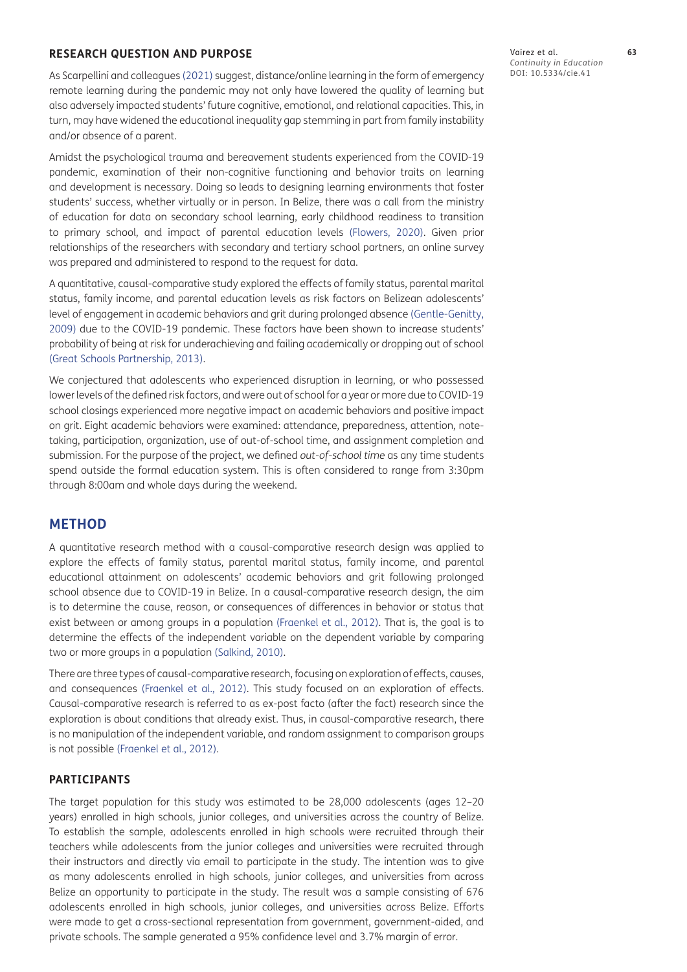#### **RESEARCH QUESTION AND PURPOSE**

As Scarpellini and colleagues (2021) suggest, distance/online learning in the form of emergency remote learning during the pandemic may not only have lowered the quality of learning but also adversely impacted students' future cognitive, emotional, and relational capacities. This, in turn, may have widened the educational inequality gap stemming in part from family instability and/or absence of a parent.

Amidst the psychological trauma and bereavement students experienced from the COVID-19 pandemic, examination of their non-cognitive functioning and behavior traits on learning and development is necessary. Doing so leads to designing learning environments that foster students' success, whether virtually or in person. In Belize, there was a call from the ministry of education for data on secondary school learning, early childhood readiness to transition to primary school, and impact of parental education levels ([Flowers, 2020](#page-14-4)). Given prior relationships of the researchers with secondary and tertiary school partners, an online survey was prepared and administered to respond to the request for data.

A quantitative, causal-comparative study explored the effects of family status, parental marital status, family income, and parental education levels as risk factors on Belizean adolescents' level of engagement in academic behaviors and grit during prolonged absence ([Gentle-Genitty,](#page-14-12)  [2009](#page-14-12)) due to the COVID-19 pandemic. These factors have been shown to increase students' probability of being at risk for underachieving and failing academically or dropping out of school [\(Great Schools Partnership, 2013](#page-15-16)).

We conjectured that adolescents who experienced disruption in learning, or who possessed lower levels of the defined risk factors, and were out of school for a year or more due to COVID-19 school closings experienced more negative impact on academic behaviors and positive impact on grit. Eight academic behaviors were examined: attendance, preparedness, attention, notetaking, participation, organization, use of out-of-school time, and assignment completion and submission. For the purpose of the project, we defined *out-of-school time* as any time students spend outside the formal education system. This is often considered to range from 3:30pm through 8:00am and whole days during the weekend.

# **METHOD**

A quantitative research method with a causal-comparative research design was applied to explore the effects of family status, parental marital status, family income, and parental educational attainment on adolescents' academic behaviors and grit following prolonged school absence due to COVID-19 in Belize. In a causal-comparative research design, the aim is to determine the cause, reason, or consequences of differences in behavior or status that exist between or among groups in a population ([Fraenkel et al., 2012](#page-14-18)). That is, the goal is to determine the effects of the independent variable on the dependent variable by comparing two or more groups in a population ([Salkind, 2010\)](#page-16-10).

There are three types of causal-comparative research, focusing on exploration of effects, causes, and consequences ([Fraenkel et al., 2012\)](#page-14-18). This study focused on an exploration of effects. Causal-comparative research is referred to as ex-post facto (after the fact) research since the exploration is about conditions that already exist. Thus, in causal-comparative research, there is no manipulation of the independent variable, and random assignment to comparison groups is not possible [\(Fraenkel et al., 2012\)](#page-14-18).

#### **PARTICIPANTS**

The target population for this study was estimated to be 28,000 adolescents (ages 12–20 years) enrolled in high schools, junior colleges, and universities across the country of Belize. To establish the sample, adolescents enrolled in high schools were recruited through their teachers while adolescents from the junior colleges and universities were recruited through their instructors and directly via email to participate in the study. The intention was to give as many adolescents enrolled in high schools, junior colleges, and universities from across Belize an opportunity to participate in the study. The result was a sample consisting of 676 adolescents enrolled in high schools, junior colleges, and universities across Belize. Efforts were made to get a cross-sectional representation from government, government-aided, and private schools. The sample generated a 95% confidence level and 3.7% margin of error.

Vairez et al. **63** *Continuity in Education* DOI: 10.5334/cie.41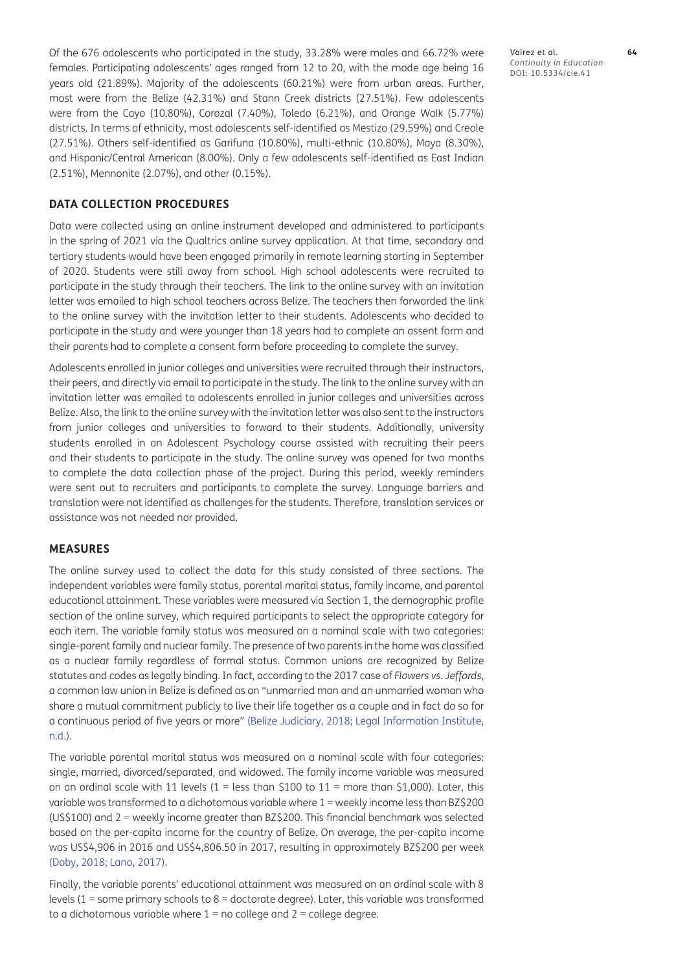Of the 676 adolescents who participated in the study, 33.28% were males and 66.72% were females. Participating adolescents' ages ranged from 12 to 20, with the mode age being 16 years old (21.89%). Majority of the adolescents (60.21%) were from urban areas. Further, most were from the Belize (42.31%) and Stann Creek districts (27.51%). Few adolescents were from the Cayo (10.80%), Corozal (7.40%), Toledo (6.21%), and Orange Walk (5.77%) districts. In terms of ethnicity, most adolescents self-identified as Mestizo (29.59%) and Creole (27.51%). Others self-identified as Garifuna (10.80%), multi-ethnic (10.80%), Maya (8.30%), and Hispanic/Central American (8.00%). Only a few adolescents self-identified as East Indian (2.51%), Mennonite (2.07%), and other (0.15%).

#### **DATA COLLECTION PROCEDURES**

Data were collected using an online instrument developed and administered to participants in the spring of 2021 via the Qualtrics online survey application. At that time, secondary and tertiary students would have been engaged primarily in remote learning starting in September of 2020. Students were still away from school. High school adolescents were recruited to participate in the study through their teachers. The link to the online survey with an invitation letter was emailed to high school teachers across Belize. The teachers then forwarded the link to the online survey with the invitation letter to their students. Adolescents who decided to participate in the study and were younger than 18 years had to complete an assent form and their parents had to complete a consent form before proceeding to complete the survey.

Adolescents enrolled in junior colleges and universities were recruited through their instructors, their peers, and directly via email to participate in the study. The link to the online survey with an invitation letter was emailed to adolescents enrolled in junior colleges and universities across Belize. Also, the link to the online survey with the invitation letter was also sent to the instructors from junior colleges and universities to forward to their students. Additionally, university students enrolled in an Adolescent Psychology course assisted with recruiting their peers and their students to participate in the study. The online survey was opened for two months to complete the data collection phase of the project. During this period, weekly reminders were sent out to recruiters and participants to complete the survey. Language barriers and translation were not identified as challenges for the students. Therefore, translation services or assistance was not needed nor provided.

#### **MEASURES**

The online survey used to collect the data for this study consisted of three sections. The independent variables were family status, parental marital status, family income, and parental educational attainment. These variables were measured via Section 1, the demographic profile section of the online survey, which required participants to select the appropriate category for each item. The variable family status was measured on a nominal scale with two categories: single-parent family and nuclear family. The presence of two parents in the home was classified as a nuclear family regardless of formal status. Common unions are recognized by Belize statutes and codes as legally binding. In fact, according to the 2017 case of *Flowers vs. Jeffords*, a common law union in Belize is defined as an "unmarried man and an unmarried woman who share a mutual commitment publicly to live their life together as a couple and in fact do so for a continuous period of five years or more" [\(Belize Judiciary, 2018;](#page-14-19) [Legal Information Institute,](#page-15-17)  [n.d.](#page-15-17)).

The variable parental marital status was measured on a nominal scale with four categories: single, married, divorced/separated, and widowed. The family income variable was measured on an ordinal scale with 11 levels ( $1 =$  less than \$100 to  $11 =$  more than \$1,000). Later, this variable was transformed to a dichotomous variable where 1 = weekly income less than BZ\$200 (US\$100) and 2 = weekly income greater than BZ\$200. This financial benchmark was selected based on the per-capita income for the country of Belize. On average, the per-capita income was US\$4,906 in 2016 and US\$4,806.50 in 2017, resulting in approximately BZ\$200 per week [\(Doby, 2018;](#page-14-20) [Lano, 2017\)](#page-15-18).

Finally, the variable parents' educational attainment was measured on an ordinal scale with 8 levels (1 = some primary schools to 8 = doctorate degree). Later, this variable was transformed to a dichotomous variable where  $1 =$  no college and  $2 =$  college degree.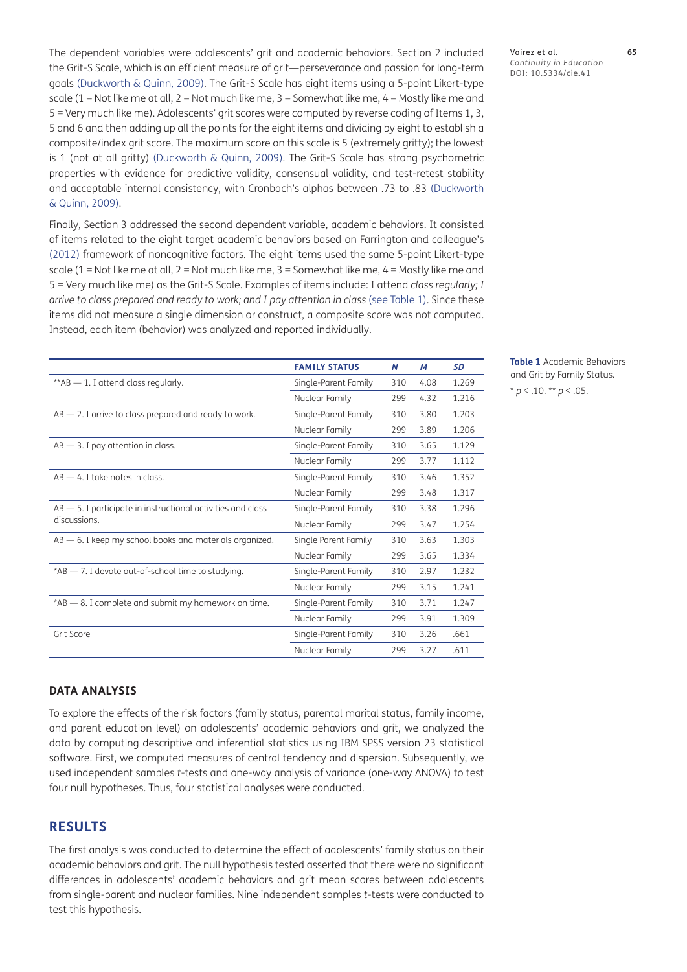The dependent variables were adolescents' grit and academic behaviors. Section 2 included the Grit-S Scale, which is an efficient measure of grit—perseverance and passion for long-term goals ([Duckworth & Quinn, 2009\)](#page-14-0). The Grit-S Scale has eight items using a 5-point Likert-type scale (1 = Not like me at all, 2 = Not much like me, 3 = Somewhat like me, 4 = Mostly like me and 5 = Very much like me). Adolescents' grit scores were computed by reverse coding of Items 1, 3, 5 and 6 and then adding up all the points for the eight items and dividing by eight to establish a composite/index grit score. The maximum score on this scale is 5 (extremely gritty); the lowest is 1 (not at all gritty) ([Duckworth & Quinn, 2009](#page-14-0)). The Grit-S Scale has strong psychometric properties with evidence for predictive validity, consensual validity, and test-retest stability and acceptable internal consistency, with Cronbach's alphas between .73 to .83 [\(Duckworth](#page-14-0)  [& Quinn, 2009](#page-14-0)).

Finally, Section 3 addressed the second dependent variable, academic behaviors. It consisted of items related to the eight target academic behaviors based on Farrington and colleague's [\(2012](#page-14-1)) framework of noncognitive factors. The eight items used the same 5-point Likert-type scale (1 = Not like me at all, 2 = Not much like me, 3 = Somewhat like me, 4 = Mostly like me and 5 = Very much like me) as the Grit-S Scale. Examples of items include: I attend *class regularly; I arrive to class prepared and ready to work; and I pay attention in class* (see Table 1). Since these items did not measure a single dimension or construct, a composite score was not computed. Instead, each item (behavior) was analyzed and reported individually.

|                                                                                 | <b>FAMILY STATUS</b> | N   | M    | <b>SD</b> |
|---------------------------------------------------------------------------------|----------------------|-----|------|-----------|
| ** AB - 1. I attend class regularly.                                            | Single-Parent Family | 310 | 4.08 | 1.269     |
|                                                                                 | Nuclear Family       | 299 | 4.32 | 1.216     |
| $AB$ $-$ 2. I arrive to class prepared and ready to work.                       | Single-Parent Family | 310 | 3.80 | 1.203     |
|                                                                                 | Nuclear Family       | 299 | 3.89 | 1.206     |
| $AB - 3$ . I pay attention in class.                                            | Single-Parent Family | 310 | 3.65 | 1.129     |
|                                                                                 | Nuclear Family       | 299 | 3.77 | 1.112     |
| $AB - 4$ . I take notes in class.                                               | Single-Parent Family | 310 | 3.46 | 1.352     |
|                                                                                 | Nuclear Family       | 299 | 3.48 | 1.317     |
| $AB$ $-$ 5. I participate in instructional activities and class<br>discussions. | Single-Parent Family | 310 | 3.38 | 1.296     |
|                                                                                 | Nuclear Family       | 299 | 3.47 | 1.254     |
| $AB$ $-$ 6. I keep my school books and materials organized.                     | Single Parent Family | 310 | 3.63 | 1.303     |
|                                                                                 | Nuclear Family       | 299 | 3.65 | 1.334     |
| *AB - 7. I devote out-of-school time to studying.                               | Single-Parent Family | 310 | 2.97 | 1.232     |
|                                                                                 | Nuclear Family       | 299 | 3.15 | 1.241     |
| $*AB$ $-$ 8. I complete and submit my homework on time.                         | Single-Parent Family | 310 | 3.71 | 1.247     |
|                                                                                 | Nuclear Family       | 299 | 3.91 | 1.309     |
| Grit Score                                                                      | Single-Parent Family | 310 | 3.26 | .661      |
|                                                                                 | Nuclear Family       | 299 | 3.27 | .611      |

Vairez et al. **65** *Continuity in Education* DOI: 10.5334/cie.41

**Table 1** Academic Behaviors and Grit by Family Status.  $*$  *p* < .10.  $*$  *p* < .05.

#### **DATA ANALYSIS**

To explore the effects of the risk factors (family status, parental marital status, family income, and parent education level) on adolescents' academic behaviors and grit, we analyzed the data by computing descriptive and inferential statistics using IBM SPSS version 23 statistical software. First, we computed measures of central tendency and dispersion. Subsequently, we used independent samples *t*-tests and one-way analysis of variance (one-way ANOVA) to test four null hypotheses. Thus, four statistical analyses were conducted.

# **RESULTS**

The first analysis was conducted to determine the effect of adolescents' family status on their academic behaviors and grit. The null hypothesis tested asserted that there were no significant differences in adolescents' academic behaviors and grit mean scores between adolescents from single-parent and nuclear families. Nine independent samples *t*-tests were conducted to test this hypothesis.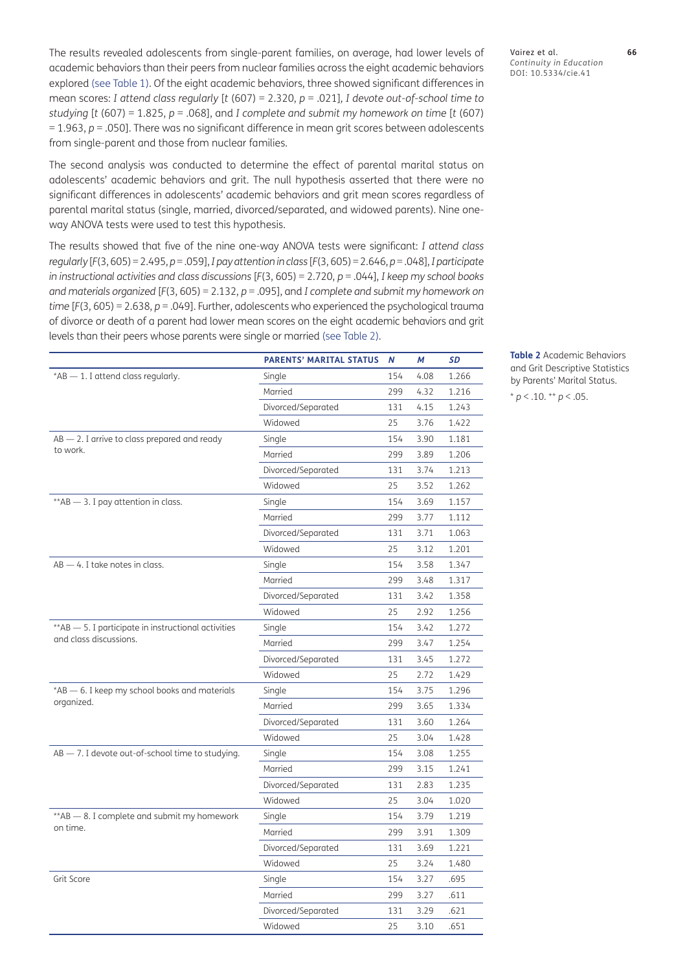The results revealed adolescents from single-parent families, on average, had lower levels of academic behaviors than their peers from nuclear families across the eight academic behaviors explored (see Table 1). Of the eight academic behaviors, three showed significant differences in mean scores: *I attend class regularly* [*t* (607) = 2.320, *p* = .021]*, I devote out-of-school time to studying [t (607)* = 1.825,  $p = .068$ ], and *I complete and submit my homework on time [t (607)* = 1.963, *p* = .050]. There was no significant difference in mean grit scores between adolescents from single-parent and those from nuclear families.

The second analysis was conducted to determine the effect of parental marital status on adolescents' academic behaviors and grit. The null hypothesis asserted that there were no significant differences in adolescents' academic behaviors and grit mean scores regardless of parental marital status (single, married, divorced/separated, and widowed parents). Nine oneway ANOVA tests were used to test this hypothesis.

The results showed that five of the nine one-way ANOVA tests were significant: *I attend class regularly* [*F*(3, 605) = 2.495, *p* = .059], *I pay attention in class* [*F*(3, 605) = 2.646, *p* = .048], *I participate in instructional activities and class discussions* [*F*(3, 605) = 2.720, *p* = .044], *I keep my school books and materials organized* [*F*(3, 605) = 2.132, *p* = .095], and *I complete and submit my homework on time* [*F*(3, 605) = 2.638, *p* = .049]. Further, adolescents who experienced the psychological trauma of divorce or death of a parent had lower mean scores on the eight academic behaviors and grit levels than their peers whose parents were single or married (see Table 2).

|                                                             | <b>PARENTS' MARITAL STATUS</b> | N   | M    | <b>SD</b> |
|-------------------------------------------------------------|--------------------------------|-----|------|-----------|
| $*AB - 1$ . I attend class regularly.                       | Single                         | 154 | 4.08 | 1.266     |
|                                                             | Married                        | 299 | 4.32 | 1.216     |
|                                                             | Divorced/Separated             | 131 | 4.15 | 1.243     |
|                                                             | Widowed                        | 25  | 3.76 | 1.422     |
| $AB - 2$ . I arrive to class prepared and ready             | Single                         | 154 | 3.90 | 1.181     |
| to work.                                                    | Married                        | 299 | 3.89 | 1.206     |
|                                                             | Divorced/Separated             | 131 | 3.74 | 1.213     |
|                                                             | Widowed                        | 25  | 3.52 | 1.262     |
| $*AB$ - 3. I pay attention in class.                        | Single                         | 154 | 3.69 | 1.157     |
|                                                             | Married                        | 299 | 3.77 | 1.112     |
|                                                             | Divorced/Separated             | 131 | 3.71 | 1.063     |
|                                                             | Widowed                        | 25  | 3.12 | 1.201     |
| $AB - 4$ . I take notes in class.                           | Single                         | 154 | 3.58 | 1.347     |
|                                                             | Married                        | 299 | 3.48 | 1.317     |
|                                                             | Divorced/Separated             | 131 | 3.42 | 1.358     |
|                                                             | Widowed                        | 25  | 2.92 | 1.256     |
| ** AB - 5. I participate in instructional activities        | Single                         | 154 | 3.42 | 1.272     |
| and class discussions.                                      | Married                        | 299 | 3.47 | 1.254     |
|                                                             | Divorced/Separated             | 131 | 3.45 | 1.272     |
|                                                             | Widowed                        | 25  | 2.72 | 1.429     |
| *AB - 6. I keep my school books and materials<br>organized. | Single                         | 154 | 3.75 | 1.296     |
|                                                             | Married                        | 299 | 3.65 | 1.334     |
|                                                             | Divorced/Separated             | 131 | 3.60 | 1.264     |
|                                                             | Widowed                        | 25  | 3.04 | 1.428     |
| AB - 7. I devote out-of-school time to studying.            | Single                         | 154 | 3.08 | 1.255     |
|                                                             | Married                        | 299 | 3.15 | 1.241     |
|                                                             | Divorced/Separated             | 131 | 2.83 | 1.235     |
|                                                             | Widowed                        | 25  | 3.04 | 1.020     |
| ** AB - 8. I complete and submit my homework                | Single                         | 154 | 3.79 | 1.219     |
| on time.                                                    | Married                        | 299 | 3.91 | 1.309     |
|                                                             | Divorced/Separated             | 131 | 3.69 | 1.221     |
|                                                             | Widowed                        | 25  | 3.24 | 1.480     |
| Grit Score                                                  | Single                         | 154 | 3.27 | .695      |
|                                                             | Married                        | 299 | 3.27 | .611      |
|                                                             | Divorced/Separated             | 131 | 3.29 | .621      |
|                                                             | Widowed                        | 25  | 3.10 | .651      |

Vairez et al. **66** *Continuity in Education* DOI: 10.5334/cie.41

**Table 2** Academic Behaviors and Grit Descriptive Statistics by Parents' Marital Status. \* *p* < .10. \*\* *p* < .05.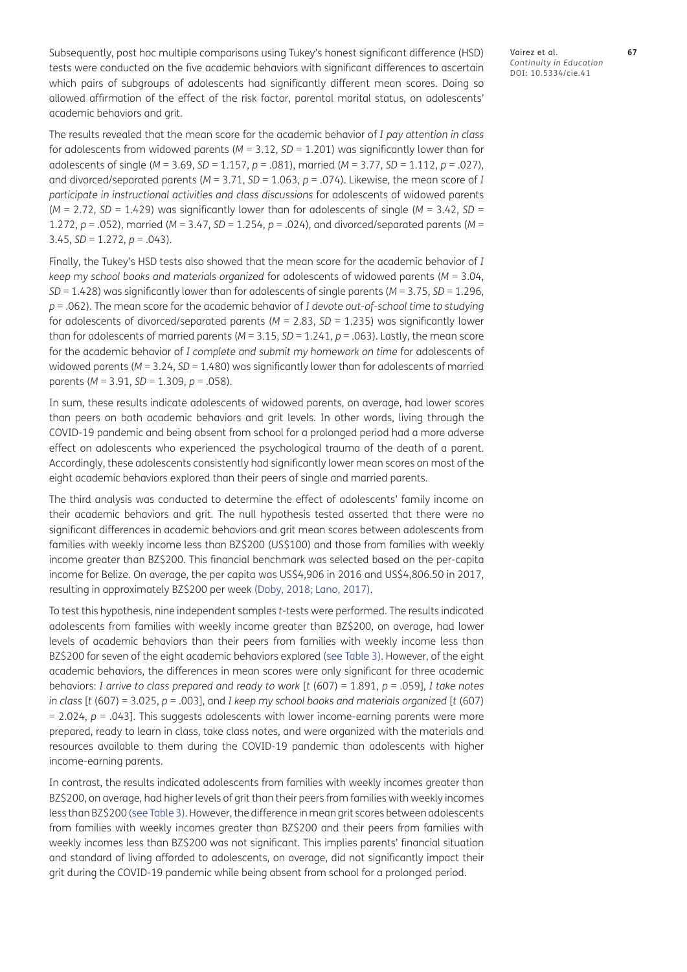Subsequently, post hoc multiple comparisons using Tukey's honest significant difference (HSD) tests were conducted on the five academic behaviors with significant differences to ascertain which pairs of subgroups of adolescents had significantly different mean scores. Doing so allowed affirmation of the effect of the risk factor, parental marital status, on adolescents' academic behaviors and grit.

The results revealed that the mean score for the academic behavior of *I pay attention in class* for adolescents from widowed parents  $(M = 3.12, SD = 1.201)$  was significantly lower than for adolescents of single (*M* = 3.69, *SD* = 1.157, *p* = .081), married (*M* = 3.77, *SD* = 1.112, *p* = .027), and divorced/separated parents (*M* = 3.71, *SD* = 1.063, *p* = .074). Likewise, the mean score of *I participate in instructional activities and class discussions* for adolescents of widowed parents  $(M = 2.72, SD = 1.429)$  was significantly lower than for adolescents of single  $(M = 3.42, SD = 1.429)$ 1.272, *p* = .052), married (*M* = 3.47, *SD* = 1.254, *p* = .024), and divorced/separated parents (*M* = 3.45, *SD* = 1.272, *p* = .043).

Finally, the Tukey's HSD tests also showed that the mean score for the academic behavior of *I keep my school books and materials organized* for adolescents of widowed parents (*M* = 3.04, *SD* = 1.428) was significantly lower than for adolescents of single parents (*M* = 3.75, *SD* = 1.296, *p* = .062). The mean score for the academic behavior of *I devote out-of-school time to studying* for adolescents of divorced/separated parents (*M* = 2.83, *SD* = 1.235) was significantly lower than for adolescents of married parents (*M* = 3.15, *SD* = 1.241, *p* = .063). Lastly, the mean score for the academic behavior of *I complete and submit my homework on time* for adolescents of widowed parents ( $M = 3.24$ ,  $SD = 1.480$ ) was significantly lower than for adolescents of married parents (*M* = 3.91, *SD* = 1.309, *p* = .058).

In sum, these results indicate adolescents of widowed parents, on average, had lower scores than peers on both academic behaviors and grit levels. In other words, living through the COVID-19 pandemic and being absent from school for a prolonged period had a more adverse effect on adolescents who experienced the psychological trauma of the death of a parent. Accordingly, these adolescents consistently had significantly lower mean scores on most of the eight academic behaviors explored than their peers of single and married parents.

The third analysis was conducted to determine the effect of adolescents' family income on their academic behaviors and grit. The null hypothesis tested asserted that there were no significant differences in academic behaviors and grit mean scores between adolescents from families with weekly income less than BZ\$200 (US\$100) and those from families with weekly income greater than BZ\$200. This financial benchmark was selected based on the per-capita income for Belize. On average, the per capita was US\$4,906 in 2016 and US\$4,806.50 in 2017, resulting in approximately BZ\$200 per week [\(Doby, 2018;](#page-14-20) [Lano, 2017\)](#page-15-18).

To test this hypothesis, nine independent samples *t*-tests were performed. The results indicated adolescents from families with weekly income greater than BZ\$200, on average, had lower levels of academic behaviors than their peers from families with weekly income less than BZ\$200 for seven of the eight academic behaviors explored (see Table 3). However, of the eight academic behaviors, the differences in mean scores were only significant for three academic behaviors: *I arrive to class prepared and ready to work* [*t* (607) = 1.891, *p* = .059]*, I take notes in class* [*t* (607) = 3.025, *p* = .003], and *I keep my school books and materials organized* [*t* (607)  $= 2.024$ ,  $p = .043$ ]. This suggests adolescents with lower income-earning parents were more prepared, ready to learn in class, take class notes, and were organized with the materials and resources available to them during the COVID-19 pandemic than adolescents with higher income-earning parents.

In contrast, the results indicated adolescents from families with weekly incomes greater than BZ\$200, on average, had higher levels of grit than their peers from families with weekly incomes less than BZ\$200 (see Table 3). However, the difference in mean grit scores between adolescents from families with weekly incomes greater than BZ\$200 and their peers from families with weekly incomes less than BZ\$200 was not significant. This implies parents' financial situation and standard of living afforded to adolescents, on average, did not significantly impact their grit during the COVID-19 pandemic while being absent from school for a prolonged period.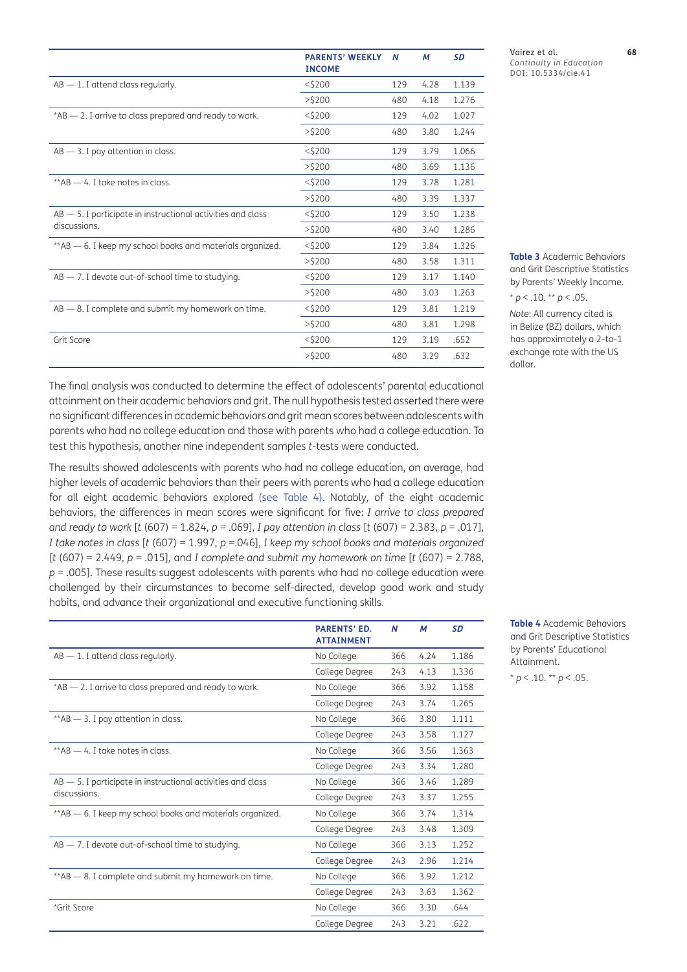|                                                                 | <b>PARENTS' WEEKLY</b><br><b>INCOME</b> | N   | М    | <b>SD</b> |
|-----------------------------------------------------------------|-----------------------------------------|-----|------|-----------|
| $AB - 1$ . I attend class regularly.                            | $<$ \$200                               | 129 | 4.28 | 1.139     |
|                                                                 | $>$ \$200                               | 480 | 4.18 | 1.276     |
| $*AB$ $-$ 2. I arrive to class prepared and ready to work.      | $<$ \$200                               | 129 | 4.02 | 1.027     |
|                                                                 | $>$ \$200                               | 480 | 3.80 | 1.244     |
| $AB - 3$ . I pay attention in class.                            | $<$ \$200                               | 129 | 3.79 | 1.066     |
|                                                                 | $>$ \$200                               | 480 | 3.69 | 1.136     |
| $*AB - 4$ . I take notes in class.                              | $<$ \$200                               | 129 | 3.78 | 1.281     |
|                                                                 | $>$ \$200                               | 480 | 3.39 | 1.337     |
| $AB$ $-$ 5. I participate in instructional activities and class | $<$ \$200                               | 129 | 3.50 | 1.238     |
| discussions.                                                    | >5200                                   | 480 | 3.40 | 1.286     |
| ** AB – 6. I keep my school books and materials organized.      | $<$ \$200                               | 129 | 3.84 | 1.326     |
|                                                                 | $>$ \$200                               | 480 | 3.58 | 1.311     |
| $AB - 7$ . I devote out-of-school time to studying.             | $<$ \$200                               | 129 | 3.17 | 1.140     |
|                                                                 | $>$ \$200                               | 480 | 3.03 | 1.263     |
| $AB$ $-$ 8. I complete and submit my homework on time.          | $<$ \$200                               | 129 | 3.81 | 1.219     |
|                                                                 | $>$ \$200                               | 480 | 3.81 | 1.298     |
| Grit Score                                                      | $<$ \$200                               | 129 | 3.19 | .652      |
|                                                                 | $>$ \$200                               | 480 | 3.29 | .632      |

The final analysis was conducted to determine the effect of adolescents' parental educational attainment on their academic behaviors and grit. The null hypothesis tested asserted there were no significant differences in academic behaviors and grit mean scores between adolescents with parents who had no college education and those with parents who had a college education. To test this hypothesis, another nine independent samples *t*-tests were conducted.

The results showed adolescents with parents who had no college education, on average, had higher levels of academic behaviors than their peers with parents who had a college education for all eight academic behaviors explored (see Table 4). Notably, of the eight academic behaviors, the differences in mean scores were significant for five: *I arrive to class prepared and ready to work* [*t* (607) = 1.824, *p* = .069]*, I pay attention in class* [*t* (607) = 2.383, *p* = .017]*, I take notes in class* [*t* (607) = 1.997, *p* =.046], *I keep my school books and materials organized*  [*t* (607) = 2.449, *p* = .015], and *I complete and submit my homework on time* [*t* (607) = 2.788, *p* = .005]. These results suggest adolescents with parents who had no college education were challenged by their circumstances to become self-directed, develop good work and study habits, and advance their organizational and executive functioning skills.

|                                                                 | <b>PARENTS' ED.</b><br><b>ATTAINMENT</b> | N   | М    | <b>SD</b> |
|-----------------------------------------------------------------|------------------------------------------|-----|------|-----------|
| $AB - 1$ . I attend class regularly.                            | No College                               | 366 | 4.24 | 1.186     |
|                                                                 | College Degree                           | 243 | 4.13 | 1.336     |
| *AB - 2. I arrive to class prepared and ready to work.          | No College                               | 366 | 3.92 | 1.158     |
|                                                                 | College Degree                           | 243 | 3.74 | 1.265     |
| $*AB$ $-$ 3. I pay attention in class.                          | No College                               | 366 | 3.80 | 1.111     |
|                                                                 | College Degree                           | 243 | 3.58 | 1.127     |
| **AB - 4. I take notes in class.                                | No College                               | 366 | 3.56 | 1.363     |
|                                                                 | College Degree                           | 243 | 3.34 | 1.280     |
| $AB$ $-$ 5. I participate in instructional activities and class | No College                               | 366 | 3.46 | 1.289     |
| discussions.                                                    | College Degree                           | 243 | 3.37 | 1.255     |
| ** AB - 6. I keep my school books and materials organized.      | No College                               | 366 | 3.74 | 1.314     |
|                                                                 | College Degree                           | 243 | 3.48 | 1.309     |
| $AB - 7$ . I devote out-of-school time to studying.             | No College                               | 366 | 3.13 | 1.252     |
|                                                                 | College Degree                           | 243 | 2.96 | 1.214     |
| ** AB - 8. I complete and submit my homework on time.           | No College                               | 366 | 3.92 | 1.212     |
|                                                                 | College Degree                           | 243 | 3.63 | 1.362     |
| *Grit Score                                                     | No College                               | 366 | 3.30 | .644      |
|                                                                 | College Degree                           | 243 | 3.21 | .622      |

Vairez et al. **68** *Continuity in Education* DOI: 10.5334/cie.41

**Table 3** Academic Behaviors and Grit Descriptive Statistics by Parents' Weekly Income.  $*$  *p* < .10.  $*$  *p* < .05.

*Note*: All currency cited is in Belize (BZ) dollars, which has approximately a 2-to-1 exchange rate with the US dollar.

**Table 4** Academic Behaviors and Grit Descriptive Statistics by Parents' Educational Attainment.

 $* p < 0.10$ . \*\* *p* < 0.05.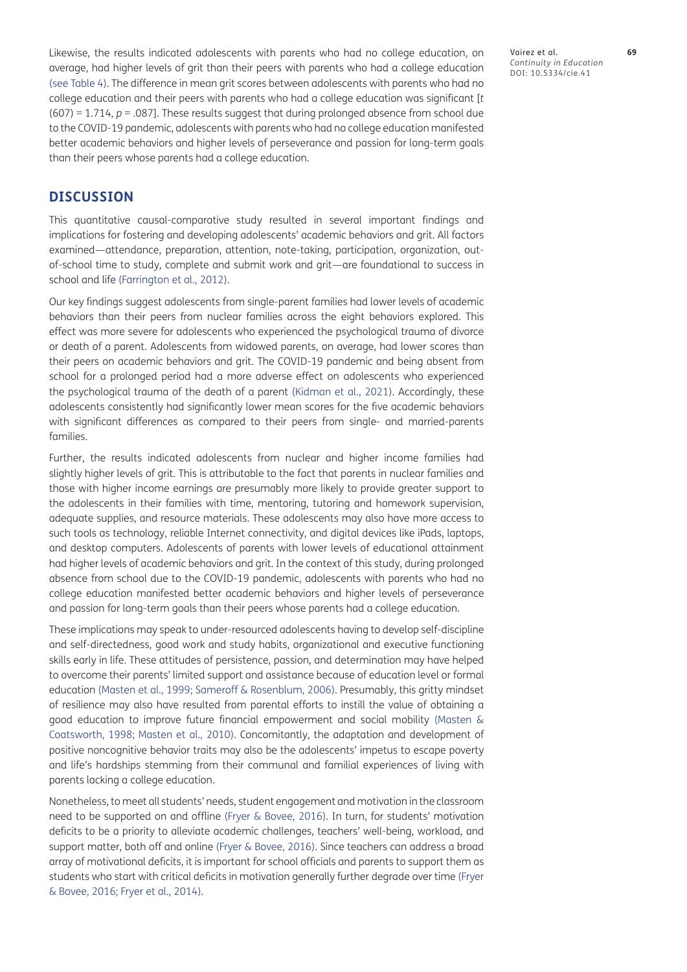Likewise, the results indicated adolescents with parents who had no college education, on average, had higher levels of grit than their peers with parents who had a college education (see Table 4). The difference in mean grit scores between adolescents with parents who had no college education and their peers with parents who had a college education was significant [*t* (607) = 1.714, *p* = .087]. These results suggest that during prolonged absence from school due to the COVID-19 pandemic, adolescents with parents who had no college education manifested better academic behaviors and higher levels of perseverance and passion for long-term goals than their peers whose parents had a college education.

# **DISCUSSION**

This quantitative causal-comparative study resulted in several important findings and implications for fostering and developing adolescents' academic behaviors and grit. All factors examined—attendance, preparation, attention, note-taking, participation, organization, outof-school time to study, complete and submit work and grit—are foundational to success in school and life ([Farrington et al., 2012\)](#page-14-1).

Our key findings suggest adolescents from single-parent families had lower levels of academic behaviors than their peers from nuclear families across the eight behaviors explored. This effect was more severe for adolescents who experienced the psychological trauma of divorce or death of a parent. Adolescents from widowed parents, on average, had lower scores than their peers on academic behaviors and grit. The COVID-19 pandemic and being absent from school for a prolonged period had a more adverse effect on adolescents who experienced the psychological trauma of the death of a parent [\(Kidman et al., 2021\)](#page-15-8). Accordingly, these adolescents consistently had significantly lower mean scores for the five academic behaviors with significant differences as compared to their peers from single- and married-parents families.

Further, the results indicated adolescents from nuclear and higher income families had slightly higher levels of grit. This is attributable to the fact that parents in nuclear families and those with higher income earnings are presumably more likely to provide greater support to the adolescents in their families with time, mentoring, tutoring and homework supervision, adequate supplies, and resource materials. These adolescents may also have more access to such tools as technology, reliable Internet connectivity, and digital devices like iPads, laptops, and desktop computers. Adolescents of parents with lower levels of educational attainment had higher levels of academic behaviors and grit. In the context of this study, during prolonged absence from school due to the COVID-19 pandemic, adolescents with parents who had no college education manifested better academic behaviors and higher levels of perseverance and passion for long-term goals than their peers whose parents had a college education.

These implications may speak to under-resourced adolescents having to develop self-discipline and self-directedness, good work and study habits, organizational and executive functioning skills early in life. These attitudes of persistence, passion, and determination may have helped to overcome their parents' limited support and assistance because of education level or formal education [\(Masten et al., 1999;](#page-16-11) [Sameroff & Rosenblum, 2006](#page-16-8)). Presumably, this gritty mindset of resilience may also have resulted from parental efforts to instill the value of obtaining a good education to improve future financial empowerment and social mobility [\(Masten &](#page-15-11)  [Coatsworth, 1998;](#page-15-11) [Masten et al., 2010\)](#page-15-12). Concomitantly, the adaptation and development of positive noncognitive behavior traits may also be the adolescents' impetus to escape poverty and life's hardships stemming from their communal and familial experiences of living with parents lacking a college education.

Nonetheless, to meet all students' needs, student engagement and motivation in the classroom need to be supported on and offline ([Fryer & Bovee, 2016\)](#page-14-17). In turn, for students' motivation deficits to be a priority to alleviate academic challenges, teachers' well-being, workload, and support matter, both off and online [\(Fryer & Bovee, 2016](#page-14-17)). Since teachers can address a broad array of motivational deficits, it is important for school officials and parents to support them as students who start with critical deficits in motivation generally further degrade over time [\(Fryer](#page-14-17)  [& Bovee, 2016](#page-14-17); [Fryer et al., 2014](#page-14-21)).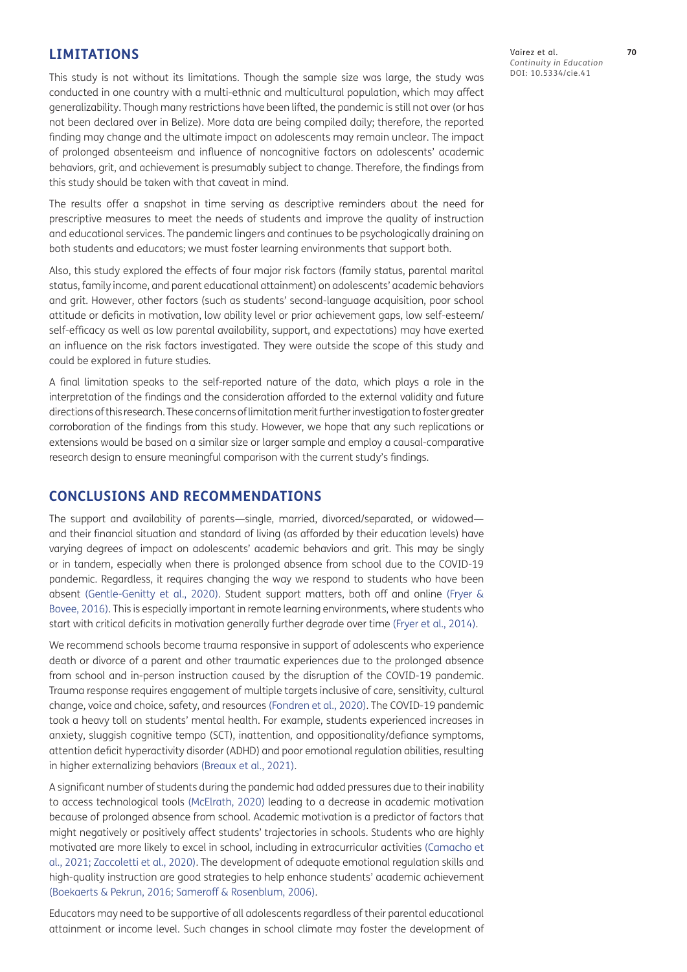#### **LIMITATIONS**

This study is not without its limitations. Though the sample size was large, the study was conducted in one country with a multi-ethnic and multicultural population, which may affect generalizability. Though many restrictions have been lifted, the pandemic is still not over (or has not been declared over in Belize). More data are being compiled daily; therefore, the reported finding may change and the ultimate impact on adolescents may remain unclear. The impact of prolonged absenteeism and influence of noncognitive factors on adolescents' academic behaviors, grit, and achievement is presumably subject to change. Therefore, the findings from this study should be taken with that caveat in mind.

The results offer a snapshot in time serving as descriptive reminders about the need for prescriptive measures to meet the needs of students and improve the quality of instruction and educational services. The pandemic lingers and continues to be psychologically draining on both students and educators; we must foster learning environments that support both.

Also, this study explored the effects of four major risk factors (family status, parental marital status, family income, and parent educational attainment) on adolescents' academic behaviors and grit. However, other factors (such as students' second-language acquisition, poor school attitude or deficits in motivation, low ability level or prior achievement gaps, low self-esteem/ self-efficacy as well as low parental availability, support, and expectations) may have exerted an influence on the risk factors investigated. They were outside the scope of this study and could be explored in future studies.

A final limitation speaks to the self-reported nature of the data, which plays a role in the interpretation of the findings and the consideration afforded to the external validity and future directions of this research. These concerns of limitation merit further investigation to foster greater corroboration of the findings from this study. However, we hope that any such replications or extensions would be based on a similar size or larger sample and employ a causal-comparative research design to ensure meaningful comparison with the current study's findings.

#### **CONCLUSIONS AND RECOMMENDATIONS**

The support and availability of parents—single, married, divorced/separated, or widowed and their financial situation and standard of living (as afforded by their education levels) have varying degrees of impact on adolescents' academic behaviors and grit. This may be singly or in tandem, especially when there is prolonged absence from school due to the COVID-19 pandemic. Regardless, it requires changing the way we respond to students who have been absent ([Gentle-Genitty et al., 2020](#page-15-19)). Student support matters, both off and online [\(Fryer &](#page-14-17)  [Bovee, 2016\)](#page-14-17). This is especially important in remote learning environments, where students who start with critical deficits in motivation generally further degrade over time [\(Fryer et al., 2014](#page-14-21)).

We recommend schools become trauma responsive in support of adolescents who experience death or divorce of a parent and other traumatic experiences due to the prolonged absence from school and in-person instruction caused by the disruption of the COVID-19 pandemic. Trauma response requires engagement of multiple targets inclusive of care, sensitivity, cultural change, voice and choice, safety, and resources ([Fondren et al., 2020\)](#page-14-22). The COVID-19 pandemic took a heavy toll on students' mental health. For example, students experienced increases in anxiety, sluggish cognitive tempo (SCT), inattention, and oppositionality/defiance symptoms, attention deficit hyperactivity disorder (ADHD) and poor emotional regulation abilities, resulting in higher externalizing behaviors [\(Breaux et al., 2021](#page-14-5)).

A significant number of students during the pandemic had added pressures due to their inability to access technological tools ([McElrath, 2020\)](#page-16-1) leading to a decrease in academic motivation because of prolonged absence from school. Academic motivation is a predictor of factors that might negatively or positively affect students' trajectories in schools. Students who are highly motivated are more likely to excel in school, including in extracurricular activities [\(Camacho et](#page-14-23)  [al., 2021;](#page-14-23) Zaccoletti et al., 2020). The development of adequate emotional regulation skills and high-quality instruction are good strategies to help enhance students' academic achievement [\(Boekaerts & Pekrun, 2016](#page-14-15); [Sameroff & Rosenblum, 2006](#page-16-8)).

Educators may need to be supportive of all adolescents regardless of their parental educational attainment or income level. Such changes in school climate may foster the development of

Vairez et al. **70** *Continuity in Education* DOI: 10.5334/cie.41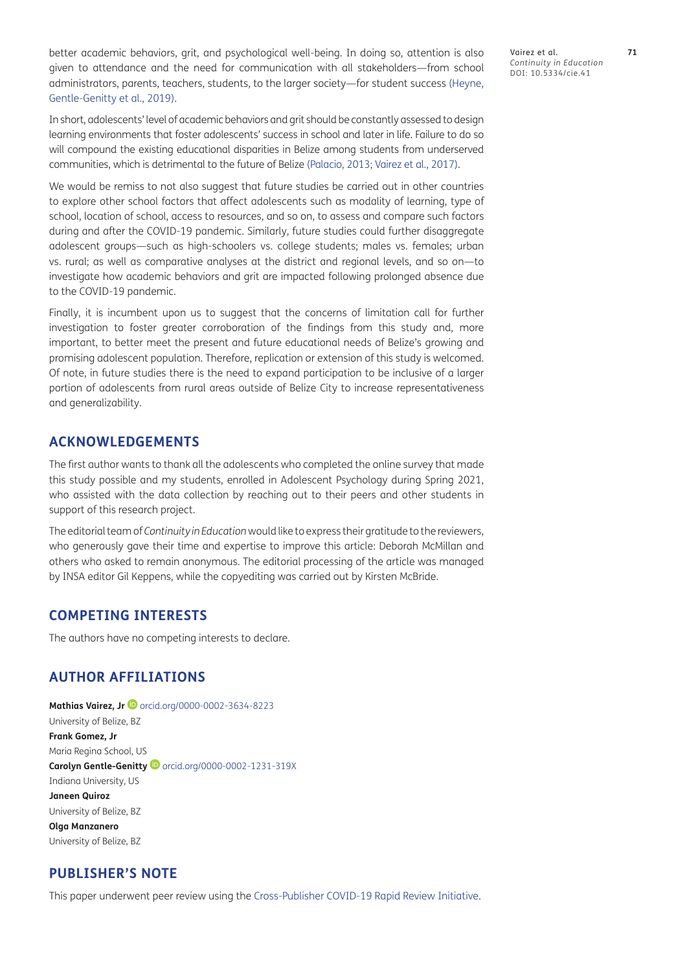better academic behaviors, grit, and psychological well-being. In doing so, attention is also given to attendance and the need for communication with all stakeholders—from school administrators, parents, teachers, students, to the larger society—for student success [\(Heyne,](#page-15-10)  [Gentle-Genitty et al., 2019](#page-15-10)).

In short, adolescents' level of academic behaviors and grit should be constantly assessed to design learning environments that foster adolescents' success in school and later in life. Failure to do so will compound the existing educational disparities in Belize among students from underserved communities, which is detrimental to the future of Belize ([Palacio, 2013;](#page-16-9) Vairez et al., 2017).

We would be remiss to not also suggest that future studies be carried out in other countries to explore other school factors that affect adolescents such as modality of learning, type of school, location of school, access to resources, and so on, to assess and compare such factors during and after the COVID-19 pandemic. Similarly, future studies could further disaggregate adolescent groups—such as high-schoolers vs. college students; males vs. females; urban vs. rural; as well as comparative analyses at the district and regional levels, and so on—to investigate how academic behaviors and grit are impacted following prolonged absence due to the COVID-19 pandemic.

Finally, it is incumbent upon us to suggest that the concerns of limitation call for further investigation to foster greater corroboration of the findings from this study and, more important, to better meet the present and future educational needs of Belize's growing and promising adolescent population. Therefore, replication or extension of this study is welcomed. Of note, in future studies there is the need to expand participation to be inclusive of a larger portion of adolescents from rural areas outside of Belize City to increase representativeness and generalizability.

# **ACKNOWLEDGEMENTS**

The first author wants to thank all the adolescents who completed the online survey that made this study possible and my students, enrolled in Adolescent Psychology during Spring 2021, who assisted with the data collection by reaching out to their peers and other students in support of this research project.

The editorial team of *Continuity in Education* would like to express their gratitude to the reviewers, who generously gave their time and expertise to improve this article: Deborah McMillan and others who asked to remain anonymous. The editorial processing of the article was managed by INSA editor Gil Keppens, while the copyediting was carried out by Kirsten McBride.

# **COMPETING INTERESTS**

The authors have no competing interests to declare.

# <span id="page-13-0"></span>**AUTHOR AFFILIATIONS**

**MathiasVairez, Jr <br> <b>D** [orcid.org/0000-0002-3634-8223](https://orcid.org/0000-0002-3634-8223) University of Belize, BZ **Frank Gomez, Jr** Maria Regina School, US Carolyn Gentle-Genitty <sup>1</sup> [orcid.org/0000-0002-1231-319X](https://orcid.org/0000-0002-1231-319X) Indiana University, US **Janeen Quiroz** University of Belize, BZ **Olga Manzanero** University of Belize, BZ

# **PUBLISHER'S NOTE**

This paper underwent peer review using the [Cross-Publisher COVID-19 Rapid Review Initiative.](https://oaspa.org/scholarly-publishers-working-together-during-covid-19-pandemic/)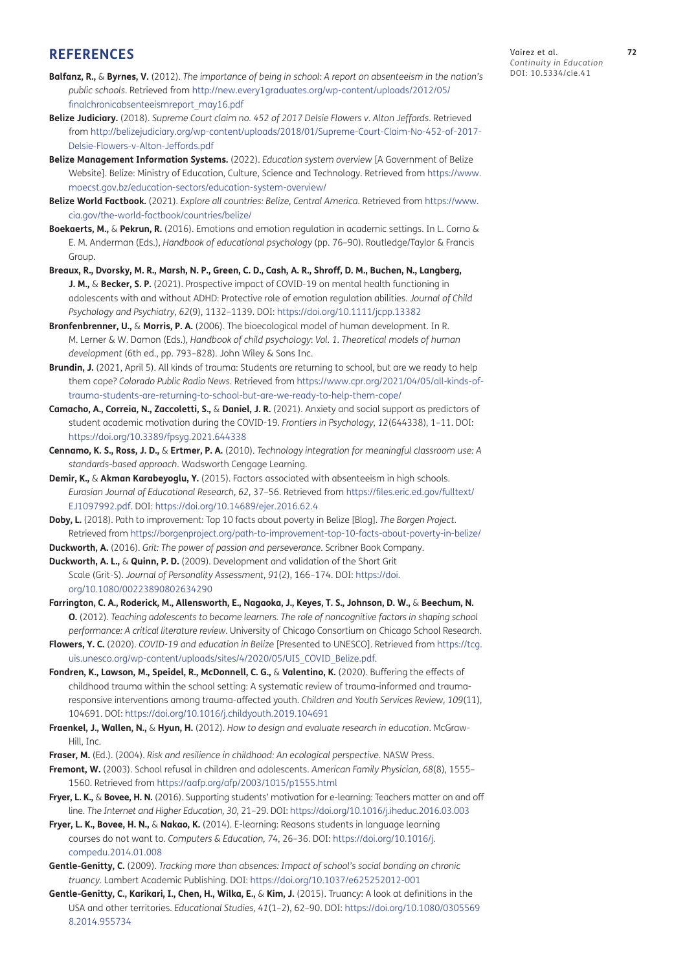# **REFERENCES**

- <span id="page-14-6"></span>**Balfanz, R.,** & **Byrnes, V.** (2012). *The importance of being in school: A report on absenteeism in the nation's public schools*. Retrieved from [http://new.every1graduates.org/wp-content/uploads/2012/05/](http://new.every1graduates.org/wp-content/uploads/2012/05/finalchronicabsenteeismreport_may16.pdf) [finalchronicabsenteeismreport\\_may16.pdf](http://new.every1graduates.org/wp-content/uploads/2012/05/finalchronicabsenteeismreport_may16.pdf)
- <span id="page-14-19"></span>**Belize Judiciary.** (2018). *Supreme Court claim no. 452 of 2017 Delsie Flowers v. Alton Jeffords*. Retrieved from [http://belizejudiciary.org/wp-content/uploads/2018/01/Supreme-Court-Claim-No-452-of-2017-](http://belizejudiciary.org/wp-content/uploads/2018/01/Supreme-Court-Claim-No-452-of-2017-Delsie-Flowers-v-Alton-Jeffords.pdf ) [Delsie-Flowers-v-Alton-Jeffords.pdf](http://belizejudiciary.org/wp-content/uploads/2018/01/Supreme-Court-Claim-No-452-of-2017-Delsie-Flowers-v-Alton-Jeffords.pdf )
- <span id="page-14-3"></span>**Belize Management Information Systems.** (2022). *Education system overview* [A Government of Belize Website]. Belize: Ministry of Education, Culture, Science and Technology. Retrieved from [https://www.](https://www.moecst.gov.bz/education-sectors/education-system-overview/ ) [moecst.gov.bz/education-sectors/education-system-overview/](https://www.moecst.gov.bz/education-sectors/education-system-overview/ )
- <span id="page-14-2"></span>**Belize World Factbook.** (2021). *Explore all countries: Belize, Central America*. Retrieved from [https://www.](https://www.cia.gov/the-world-factbook/countries/belize/ ) [cia.gov/the-world-factbook/countries/belize/](https://www.cia.gov/the-world-factbook/countries/belize/ )
- <span id="page-14-15"></span>**Boekaerts, M.,** & **Pekrun, R.** (2016). Emotions and emotion regulation in academic settings. In L. Corno & E. M. Anderman (Eds.), *Handbook of educational psychology* (pp. 76–90). Routledge/Taylor & Francis Group
- <span id="page-14-5"></span>**Breaux, R., Dvorsky, M. R., Marsh, N. P., Green, C. D., Cash, A. R., Shroff, D. M., Buchen, N., Langberg, J. M., & Becker, S. P.** (2021). Prospective impact of COVID-19 on mental health functioning in adolescents with and without ADHD: Protective role of emotion regulation abilities. *Journal of Child Psychology and Psychiatry*, *62*(9), 1132–1139. DOI: [https://doi.org/10.1111/jcpp.13382](https://doi.org/10.1111/jcpp.13382 )
- <span id="page-14-10"></span>**Bronfenbrenner, U.,** & **Morris, P. A.** (2006). The bioecological model of human development. In R. M. Lerner & W. Damon (Eds.), *Handbook of child psychology*: *Vol. 1. Theoretical models of human development* (6th ed., pp. 793–828). John Wiley & Sons Inc.
- <span id="page-14-11"></span>**Brundin, J.** (2021, April 5). All kinds of trauma: Students are returning to school, but are we ready to help them cope? *Colorado Public Radio News*. Retrieved from [https://www.cpr.org/2021/04/05/all-kinds-of](https://www.cpr.org/2021/04/05/all-kinds-of-trauma-students-are-returning-to-school-but-are-we-ready-to-help-them-cope/)[trauma-students-are-returning-to-school-but-are-we-ready-to-help-them-cope/](https://www.cpr.org/2021/04/05/all-kinds-of-trauma-students-are-returning-to-school-but-are-we-ready-to-help-them-cope/)
- <span id="page-14-23"></span>**Camacho, A., Correia, N., Zaccoletti, S.,** & **Daniel, J. R.** (2021). Anxiety and social support as predictors of student academic motivation during the COVID-19. *Frontiers in Psychology, 12*(644338), 1–11. DOI: [https://doi.org/10.3389/fpsyg.2021.644338](https://doi.org/10.3389/fpsyg.2021.644338 )
- <span id="page-14-16"></span>**Cennamo, K. S., Ross, J. D.,** & **Ertmer, P. A.** (2010). *Technology integration for meaningful classroom use: A standards-based approach*. Wadsworth Cengage Learning.
- <span id="page-14-14"></span>**Demir, K.,** & **Akman Karabeyoglu, Y.** (2015). Factors associated with absenteeism in high schools. *Eurasian Journal of Educational Research, 62*, 37–56. Retrieved from [https://files.eric.ed.gov/fulltext/](https://files.eric.ed.gov/fulltext/EJ1097992.pdf) [EJ1097992.pdf](https://files.eric.ed.gov/fulltext/EJ1097992.pdf). DOI: [https://doi.org/10.14689/ejer.2016.62.4](https://doi.org/10.14689/ejer.2016.62.4 )
- <span id="page-14-20"></span>**Doby, L.** (2018). Path to improvement: Top 10 facts about poverty in Belize [Blog]. *The Borgen Project*. Retrieved from [https://borgenproject.org/path-to-improvement-top-10-facts-about-poverty-in-belize/](https://borgenproject.org/path-to-improvement-top-10-facts-about-poverty-in-belize/ )
- <span id="page-14-8"></span>**Duckworth, A.** (2016). *Grit: The power of passion and perseverance*. Scribner Book Company.
- <span id="page-14-0"></span>**Duckworth, A. L.,** & **Quinn, P. D.** (2009). Development and validation of the Short Grit Scale (Grit-S). *Journal of Personality Assessment*, *91*(2), 166–174. DOI: [https://doi.](https://doi.org/10.1080/00223890802634290 ) [org/10.1080/00223890802634290](https://doi.org/10.1080/00223890802634290 )
- <span id="page-14-1"></span>**Farrington, C. A., Roderick, M., Allensworth, E., Nagaoka, J., Keyes, T. S., Johnson, D. W.,** & **Beechum, N. O.** (2012). *Teaching adolescents to become learners. The role of noncognitive factors in shaping school performance: A critical literature review.* University of Chicago Consortium on Chicago School Research.
- <span id="page-14-4"></span>**Flowers, Y. C.** (2020). *COVID-19 and education in Belize* [Presented to UNESCO]. Retrieved from [https://tcg.](https://tcg.uis.unesco.org/wp-content/uploads/sites/4/2020/05/UIS_COVID_Belize.pdf ) [uis.unesco.org/wp-content/uploads/sites/4/2020/05/UIS\\_COVID\\_Belize.pdf.](https://tcg.uis.unesco.org/wp-content/uploads/sites/4/2020/05/UIS_COVID_Belize.pdf )
- <span id="page-14-22"></span>**Fondren, K., Lawson, M., Speidel, R., McDonnell, C. G.,** & **Valentino, K.** (2020). Buffering the effects of childhood trauma within the school setting: A systematic review of trauma-informed and traumaresponsive interventions among trauma-affected youth. *Children and Youth Services Review, 109*(11), 104691. DOI: [https://doi.org/10.1016/j.childyouth.2019.104691](https://doi.org/10.1016/j.childyouth.2019.104691 )
- <span id="page-14-18"></span>**Fraenkel, J., Wallen, N.,** & **Hyun, H.** (2012). *How to design and evaluate research in education*. McGraw-Hill, Inc.
- <span id="page-14-9"></span>**Fraser, M.** (Ed.). (2004). *Risk and resilience in childhood: An ecological perspective*. NASW Press.
- <span id="page-14-7"></span>**Fremont, W.** (2003). School refusal in children and adolescents. *American Family Physician, 68*(8), 1555– 1560. Retrieved from [https://aafp.org/afp/2003/1015/p1555.html](https://aafp.org/afp/2003/1015/p1555.html )
- <span id="page-14-17"></span>**Fryer, L. K.,** & **Bovee, H. N.** (2016). Supporting students' motivation for e-learning: Teachers matter on and off line. *The Internet and Higher Education, 30*, 21–29. DOI: [https://doi.org/10.1016/j.iheduc.2016.03.003](https://doi.org/10.1016/j.iheduc.2016.03.003 )
- <span id="page-14-21"></span>**Fryer, L. K., Bovee, H. N.,** & **Nakao, K.** (2014). E-learning: Reasons students in language learning courses do not want to. *Computers & Education, 74*, 26–36. DOI: [https://doi.org/10.1016/j.](https://doi.org/10.1016/j.compedu.2014.01.008 ) [compedu.2014.01.008](https://doi.org/10.1016/j.compedu.2014.01.008 )
- <span id="page-14-12"></span>**Gentle-Genitty, C.** (2009). *Tracking more than absences: Impact of school's social bonding on chronic truancy*. Lambert Academic Publishing. DOI: [https://doi.org/10.1037/e625252012-001](https://doi.org/10.1037/e625252012-001 )
- <span id="page-14-13"></span>**Gentle-Genitty, C., Karikari, I., Chen, H., Wilka, E., & Kim, J. (2015). Truancy: A look at definitions in the** USA and other territories. *Educational Studies, 41*(1–2), 62–90. DOI: [https://doi.org/10.1080/0305569](https://doi.org/10.1080/03055698.2014.955734 ) [8.2014.955734](https://doi.org/10.1080/03055698.2014.955734 )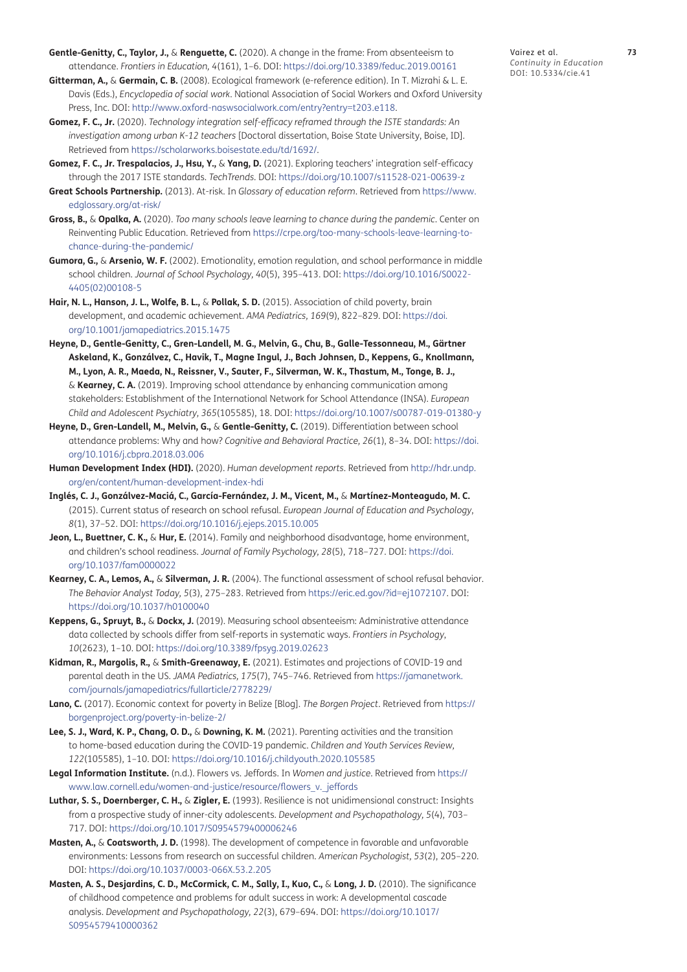- <span id="page-15-19"></span>**Gentle-Genitty, C., Taylor, J.,** & **Renguette, C.** (2020). A change in the frame: From absenteeism to attendance. *Frontiers in Education, 4*(161), 1–6. DOI: [https://doi.org/10.3389/feduc.2019.00161](https://doi.org/10.3389/feduc.2019.00161 )
- <span id="page-15-6"></span>**Gitterman, A.,** & **Germain, C. B.** (2008). Ecological framework (e-reference edition). In T. Mizrahi & L. E. Davis (Eds.), *Encyclopedia of social work*. National Association of Social Workers and Oxford University Press, Inc. DOI: [http://www.oxford-naswsocialwork.com/entry?entry=t203.e118.](http://www.oxford-naswsocialwork.com/entry?entry=t203.e118  )
- <span id="page-15-2"></span>**Gomez, F. C., Jr.** (2020). *Technology integration self-efficacy reframed through the ISTE standards: An investigation among urban K-12 teachers* [Doctoral dissertation, Boise State University, Boise, ID]. Retrieved from [https://scholarworks.boisestate.edu/td/1692/.](https://scholarworks.boisestate.edu/td/1692/)
- <span id="page-15-3"></span>**Gomez, F. C., Jr. Trespalacios, J., Hsu, Y.,** & **Yang, D.** (2021). Exploring teachers' integration self-efficacy through the 2017 ISTE standards. *TechTrends.* DOI: [https://doi.org/10.1007/s11528-021-00639-z](https://doi.org/10.1007/s11528-021-00639-z )
- <span id="page-15-16"></span>**Great Schools Partnership.** (2013). At-risk. In *Glossary of education reform*. Retrieved from [https://www.](https://www.edglossary.org/at-risk/  ) [edglossary.org/at-risk/](https://www.edglossary.org/at-risk/  )
- <span id="page-15-7"></span>**Gross, B.,** & **Opalka, A.** (2020). *Too many schools leave learning to chance during the pandemic*. Center on Reinventing Public Education. Retrieved from [https://crpe.org/too-many-schools-leave-learning-to](https://crpe.org/too-many-schools-leave-learning-to-chance-during-the-pandemic/ )[chance-during-the-pandemic/](https://crpe.org/too-many-schools-leave-learning-to-chance-during-the-pandemic/ )
- <span id="page-15-15"></span>**Gumora, G.,** & **Arsenio, W. F.** (2002). Emotionality, emotion regulation, and school performance in middle school children. *Journal of School Psychology, 40*(5), 395–413. DOI: [https://doi.org/10.1016/S0022-](https://doi.org/10.1016/S0022-4405(02)00108-5 ) [4405\(02\)00108-5](https://doi.org/10.1016/S0022-4405(02)00108-5 )
- <span id="page-15-13"></span>**Hair, N. L., Hanson, J. L., Wolfe, B. L.,** & **Pollak, S. D.** (2015). Association of child poverty, brain development, and academic achievement. *AMA Pediatrics, 169*(9), 822–829. DOI: [https://doi.](https://doi.org/10.1001/jamapediatrics.2015.1475 ) [org/10.1001/jamapediatrics.2015.1475](https://doi.org/10.1001/jamapediatrics.2015.1475 )
- <span id="page-15-10"></span>**Heyne, D., Gentle-Genitty, C., Gren-Landell, M. G., Melvin, G., Chu, B., Galle-Tessonneau, M., Gärtner Askeland, K., Gonzálvez, C., Havik, T., Magne Ingul, J., Bach Johnsen, D., Keppens, G., Knollmann, M., Lyon, A. R., Maeda, N., Reissner, V., Sauter, F., Silverman, W. K., Thastum, M., Tonge, B. J.,**  & **Kearney, C. A.** (2019). Improving school attendance by enhancing communication among stakeholders: Establishment of the International Network for School Attendance (INSA). *European Child and Adolescent Psychiatry, 365*(105585), 18. DOI: [https://doi.org/10.1007/s00787-019-01380-y](https://doi.org/10.1007/s00787-019-01380-y )
- **Heyne, D., Gren-Landell, M., Melvin, G.,** & **Gentle-Genitty, C.** (2019). Differentiation between school attendance problems: Why and how? *Cognitive and Behavioral Practice, 26*(1), 8–34. DOI: [https://doi.](https://doi.org/10.1016/j.cbpra.2018.03.006 ) [org/10.1016/j.cbpra.2018.03.006](https://doi.org/10.1016/j.cbpra.2018.03.006 )
- <span id="page-15-0"></span>**Human Development Index (HDI).** (2020). *Human development reports*. Retrieved from [http://hdr.undp.](http://hdr.undp.org/en/content/human-development-index-hdi ) [org/en/content/human-development-index-hdi](http://hdr.undp.org/en/content/human-development-index-hdi )
- **Inglés, C. J., Gonzálvez-Maciá, C., García-Fernández, J. M., Vicent, M.,** & **Martínez-Monteagudo, M. C.** (2015). Current status of research on school refusal. *European Journal of Education and Psychology*, *8*(1), 37–52. DOI: [https://doi.org/10.1016/j.ejeps.2015.10.005](https://doi.org/10.1016/j.ejeps.2015.10.005 )
- <span id="page-15-14"></span>**Jeon, L., Buettner, C. K.,** & **Hur, E.** (2014). Family and neighborhood disadvantage, home environment, and children's school readiness. *Journal of Family Psychology, 28*(5), 718–727. DOI: [https://doi.](https://doi.org/10.1037/fam0000022 ) [org/10.1037/fam0000022](https://doi.org/10.1037/fam0000022 )
- <span id="page-15-4"></span>**Kearney, C. A., Lemos, A.,** & **Silverman, J. R.** (2004). The functional assessment of school refusal behavior. *The Behavior Analyst Today, 5*(3), 275–283. Retrieved from<https://eric.ed.gov/?id=ej1072107>. DOI: [https://doi.org/10.1037/h0100040](https://doi.org/10.1037/h0100040 )
- <span id="page-15-9"></span>**Keppens, G., Spruyt, B.,** & **Dockx, J.** (2019). Measuring school absenteeism: Administrative attendance data collected by schools differ from self-reports in systematic ways. *Frontiers in Psychology*, *10*(2623), 1–10. DOI: [https://doi.org/10.3389/fpsyg.2019.02623](https://doi.org/10.3389/fpsyg.2019.02623 )
- <span id="page-15-8"></span>**Kidman, R., Margolis, R.,** & **Smith-Greenaway, E.** (2021). Estimates and projections of COVID-19 and parental death in the US. *JAMA Pediatrics, 175*(7), 745–746. Retrieved from [https://jamanetwork.](https://jamanetwork.com/journals/jamapediatrics/fullarticle/2778229/) [com/journals/jamapediatrics/fullarticle/2778229/](https://jamanetwork.com/journals/jamapediatrics/fullarticle/2778229/)
- <span id="page-15-18"></span>**Lano, C.** (2017). Economic context for poverty in Belize [Blog]. *The Borgen Project*. Retrieved from [https://](https://borgenproject.org/poverty-in-belize-2/  ) [borgenproject.org/poverty-in-belize-2/](https://borgenproject.org/poverty-in-belize-2/  )
- <span id="page-15-1"></span>**Lee, S. J., Ward, K. P., Chang, O. D.,** & **Downing, K. M.** (2021). Parenting activities and the transition to home-based education during the COVID-19 pandemic. *Children and Youth Services Review, 122*(105585), 1–10. DOI: [https://doi.org/10.1016/j.childyouth.2020.105585](https://doi.org/10.1016/j.childyouth.2020.105585 )
- <span id="page-15-17"></span>**Legal Information Institute.** (n.d.). Flowers vs. Jeffords. In *Women and justice*. Retrieved from [https://](https://www.law.cornell.edu/women-and-justice/resource/flowers_v._jeffords ) [www.law.cornell.edu/women-and-justice/resource/flowers\\_v.\\_jeffords](https://www.law.cornell.edu/women-and-justice/resource/flowers_v._jeffords )
- <span id="page-15-5"></span>**Luthar, S. S., Doernberger, C. H.,** & **Zigler, E.** (1993). Resilience is not unidimensional construct: Insights from a prospective study of inner-city adolescents. *Development and Psychopathology, 5*(4), 703– 717. DOI: [https://doi.org/10.1017/S0954579400006246](https://doi.org/10.1017/S0954579400006246 )
- <span id="page-15-11"></span>**Masten, A.,** & **Coatsworth, J. D.** (1998). The development of competence in favorable and unfavorable environments: Lessons from research on successful children. *American Psychologist, 53*(2), 205–220. DOI: [https://doi.org/10.1037/0003-066X.53.2.205](https://doi.org/10.1037/0003-066X.53.2.205 )
- <span id="page-15-12"></span>**Masten, A. S., Desjardins, C. D., McCormick, C. M., Sally, I., Kuo, C.,** & **Long, J. D.** (2010). The significance of childhood competence and problems for adult success in work: A developmental cascade analysis. *Development and Psychopathology, 22*(3), 679–694. DOI: [https://doi.org/10.1017/](https://doi.org/10.1017/S0954579410000362 ) [S0954579410000362](https://doi.org/10.1017/S0954579410000362 )

Vairez et al. **73** *Continuity in Education* DOI: 10.5334/cie.41